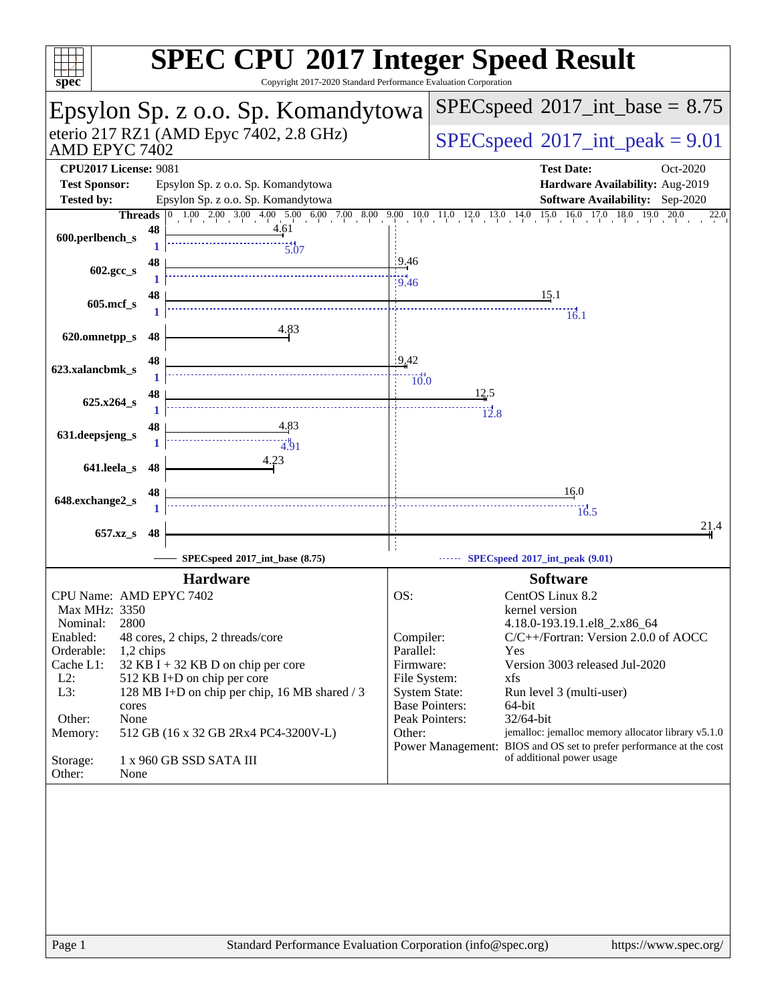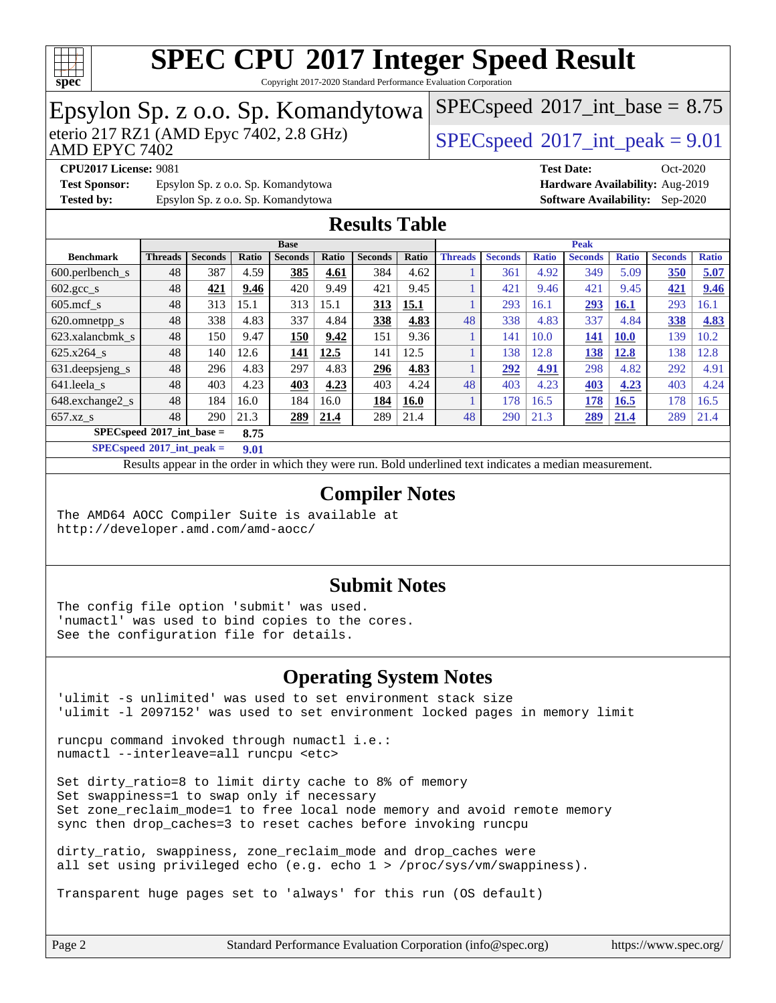

Copyright 2017-2020 Standard Performance Evaluation Corporation

### Epsylon Sp. z o.o. Sp. Komandytowa<br>eterio 217 RZ1 (AMD Epyc 7402, 2.8 GHz) AMD EPYC 7402  $SPECspeed@2017$  $SPECspeed@2017$ \_int\_peak = 9.01  $SPECspeed^{\circledcirc}2017\_int\_base = 8.75$  $SPECspeed^{\circledcirc}2017\_int\_base = 8.75$ **[CPU2017 License:](http://www.spec.org/auto/cpu2017/Docs/result-fields.html#CPU2017License)** 9081 **[Test Date:](http://www.spec.org/auto/cpu2017/Docs/result-fields.html#TestDate)** Oct-2020 **[Test Sponsor:](http://www.spec.org/auto/cpu2017/Docs/result-fields.html#TestSponsor)** Epsylon Sp. z o.o. Sp. Komandytowa **[Hardware Availability:](http://www.spec.org/auto/cpu2017/Docs/result-fields.html#HardwareAvailability)** Aug-2019 **[Tested by:](http://www.spec.org/auto/cpu2017/Docs/result-fields.html#Testedby)** Epsylon Sp. z o.o. Sp. Komandytowa **[Software Availability:](http://www.spec.org/auto/cpu2017/Docs/result-fields.html#SoftwareAvailability)** Sep-2020 **[Results Table](http://www.spec.org/auto/cpu2017/Docs/result-fields.html#ResultsTable) [Benchmark](http://www.spec.org/auto/cpu2017/Docs/result-fields.html#Benchmark) [Threads](http://www.spec.org/auto/cpu2017/Docs/result-fields.html#Threads) [Seconds](http://www.spec.org/auto/cpu2017/Docs/result-fields.html#Seconds) [Ratio](http://www.spec.org/auto/cpu2017/Docs/result-fields.html#Ratio) [Seconds](http://www.spec.org/auto/cpu2017/Docs/result-fields.html#Seconds) [Ratio](http://www.spec.org/auto/cpu2017/Docs/result-fields.html#Ratio) [Seconds](http://www.spec.org/auto/cpu2017/Docs/result-fields.html#Seconds) [Ratio](http://www.spec.org/auto/cpu2017/Docs/result-fields.html#Ratio) Base [Threads](http://www.spec.org/auto/cpu2017/Docs/result-fields.html#Threads) [Seconds](http://www.spec.org/auto/cpu2017/Docs/result-fields.html#Seconds) [Ratio](http://www.spec.org/auto/cpu2017/Docs/result-fields.html#Ratio) [Seconds](http://www.spec.org/auto/cpu2017/Docs/result-fields.html#Seconds) [Ratio](http://www.spec.org/auto/cpu2017/Docs/result-fields.html#Ratio) [Seconds](http://www.spec.org/auto/cpu2017/Docs/result-fields.html#Seconds) [Ratio](http://www.spec.org/auto/cpu2017/Docs/result-fields.html#Ratio) Peak** [600.perlbench\\_s](http://www.spec.org/auto/cpu2017/Docs/benchmarks/600.perlbench_s.html) 48 387 4.59 **[385](http://www.spec.org/auto/cpu2017/Docs/result-fields.html#Median) [4.61](http://www.spec.org/auto/cpu2017/Docs/result-fields.html#Median)** 384 4.62 1 361 4.92 349 5.09 **[350](http://www.spec.org/auto/cpu2017/Docs/result-fields.html#Median) [5.07](http://www.spec.org/auto/cpu2017/Docs/result-fields.html#Median)** [602.gcc\\_s](http://www.spec.org/auto/cpu2017/Docs/benchmarks/602.gcc_s.html) 48 **[421](http://www.spec.org/auto/cpu2017/Docs/result-fields.html#Median) [9.46](http://www.spec.org/auto/cpu2017/Docs/result-fields.html#Median)** 420 9.49 421 9.45 1 421 9.46 421 9.45 **[421](http://www.spec.org/auto/cpu2017/Docs/result-fields.html#Median) [9.46](http://www.spec.org/auto/cpu2017/Docs/result-fields.html#Median)** [605.mcf\\_s](http://www.spec.org/auto/cpu2017/Docs/benchmarks/605.mcf_s.html) 48 313 15.1 313 15.1 **[313](http://www.spec.org/auto/cpu2017/Docs/result-fields.html#Median) [15.1](http://www.spec.org/auto/cpu2017/Docs/result-fields.html#Median)** 1 293 16.1 **[293](http://www.spec.org/auto/cpu2017/Docs/result-fields.html#Median) [16.1](http://www.spec.org/auto/cpu2017/Docs/result-fields.html#Median)** 293 16.1 [620.omnetpp\\_s](http://www.spec.org/auto/cpu2017/Docs/benchmarks/620.omnetpp_s.html) 48 338 4.83 337 4.84 **[338](http://www.spec.org/auto/cpu2017/Docs/result-fields.html#Median) [4.83](http://www.spec.org/auto/cpu2017/Docs/result-fields.html#Median)** 48 338 4.83 337 4.84 **[338](http://www.spec.org/auto/cpu2017/Docs/result-fields.html#Median) [4.83](http://www.spec.org/auto/cpu2017/Docs/result-fields.html#Median)** [623.xalancbmk\\_s](http://www.spec.org/auto/cpu2017/Docs/benchmarks/623.xalancbmk_s.html) 48 150 9.47 **[150](http://www.spec.org/auto/cpu2017/Docs/result-fields.html#Median) [9.42](http://www.spec.org/auto/cpu2017/Docs/result-fields.html#Median)** 151 9.36 1 141 10.0 **[141](http://www.spec.org/auto/cpu2017/Docs/result-fields.html#Median) [10.0](http://www.spec.org/auto/cpu2017/Docs/result-fields.html#Median)** 139 10.2 [625.x264\\_s](http://www.spec.org/auto/cpu2017/Docs/benchmarks/625.x264_s.html) 48 140 12.6 **[141](http://www.spec.org/auto/cpu2017/Docs/result-fields.html#Median) [12.5](http://www.spec.org/auto/cpu2017/Docs/result-fields.html#Median)** 141 12.5 1 138 12.8 **[138](http://www.spec.org/auto/cpu2017/Docs/result-fields.html#Median) [12.8](http://www.spec.org/auto/cpu2017/Docs/result-fields.html#Median)** 138 12.8 [631.deepsjeng\\_s](http://www.spec.org/auto/cpu2017/Docs/benchmarks/631.deepsjeng_s.html) 48 296 4.83 297 4.83 **[296](http://www.spec.org/auto/cpu2017/Docs/result-fields.html#Median) [4.83](http://www.spec.org/auto/cpu2017/Docs/result-fields.html#Median)** 1 **[292](http://www.spec.org/auto/cpu2017/Docs/result-fields.html#Median) [4.91](http://www.spec.org/auto/cpu2017/Docs/result-fields.html#Median)** 298 4.82 292 4.91 [641.leela\\_s](http://www.spec.org/auto/cpu2017/Docs/benchmarks/641.leela_s.html) 48 403 4.23 **[403](http://www.spec.org/auto/cpu2017/Docs/result-fields.html#Median) [4.23](http://www.spec.org/auto/cpu2017/Docs/result-fields.html#Median)** 403 4.24 48 403 4.23 **[403](http://www.spec.org/auto/cpu2017/Docs/result-fields.html#Median) [4.23](http://www.spec.org/auto/cpu2017/Docs/result-fields.html#Median)** 403 4.24 [648.exchange2\\_s](http://www.spec.org/auto/cpu2017/Docs/benchmarks/648.exchange2_s.html) 48 184 16.0 184 16.0 **[184](http://www.spec.org/auto/cpu2017/Docs/result-fields.html#Median) [16.0](http://www.spec.org/auto/cpu2017/Docs/result-fields.html#Median)** 1 178 16.5 **[178](http://www.spec.org/auto/cpu2017/Docs/result-fields.html#Median) [16.5](http://www.spec.org/auto/cpu2017/Docs/result-fields.html#Median)** 178 16.5 [657.xz\\_s](http://www.spec.org/auto/cpu2017/Docs/benchmarks/657.xz_s.html) 48 290 21.3 **[289](http://www.spec.org/auto/cpu2017/Docs/result-fields.html#Median) [21.4](http://www.spec.org/auto/cpu2017/Docs/result-fields.html#Median)** 289 21.4 48 290 21.3 **[289](http://www.spec.org/auto/cpu2017/Docs/result-fields.html#Median) [21.4](http://www.spec.org/auto/cpu2017/Docs/result-fields.html#Median)** 289 21.4 **[SPECspeed](http://www.spec.org/auto/cpu2017/Docs/result-fields.html#SPECspeed2017intbase)[2017\\_int\\_base =](http://www.spec.org/auto/cpu2017/Docs/result-fields.html#SPECspeed2017intbase) 8.75 [SPECspeed](http://www.spec.org/auto/cpu2017/Docs/result-fields.html#SPECspeed2017intpeak)[2017\\_int\\_peak =](http://www.spec.org/auto/cpu2017/Docs/result-fields.html#SPECspeed2017intpeak) 9.01** Results appear in the [order in which they were run.](http://www.spec.org/auto/cpu2017/Docs/result-fields.html#RunOrder) Bold underlined text [indicates a median measurement](http://www.spec.org/auto/cpu2017/Docs/result-fields.html#Median). **[Compiler Notes](http://www.spec.org/auto/cpu2017/Docs/result-fields.html#CompilerNotes)** The AMD64 AOCC Compiler Suite is available at <http://developer.amd.com/amd-aocc/> **[Submit Notes](http://www.spec.org/auto/cpu2017/Docs/result-fields.html#SubmitNotes)** The config file option 'submit' was used. 'numactl' was used to bind copies to the cores. See the configuration file for details. **[Operating System Notes](http://www.spec.org/auto/cpu2017/Docs/result-fields.html#OperatingSystemNotes)** 'ulimit -s unlimited' was used to set environment stack size 'ulimit -l 2097152' was used to set environment locked pages in memory limit runcpu command invoked through numactl i.e.: numactl --interleave=all runcpu <etc> Set dirty\_ratio=8 to limit dirty cache to 8% of memory Set swappiness=1 to swap only if necessary Set zone\_reclaim\_mode=1 to free local node memory and avoid remote memory

sync then drop\_caches=3 to reset caches before invoking runcpu

dirty ratio, swappiness, zone reclaim mode and drop caches were all set using privileged echo (e.g. echo 1 > /proc/sys/vm/swappiness).

Transparent huge pages set to 'always' for this run (OS default)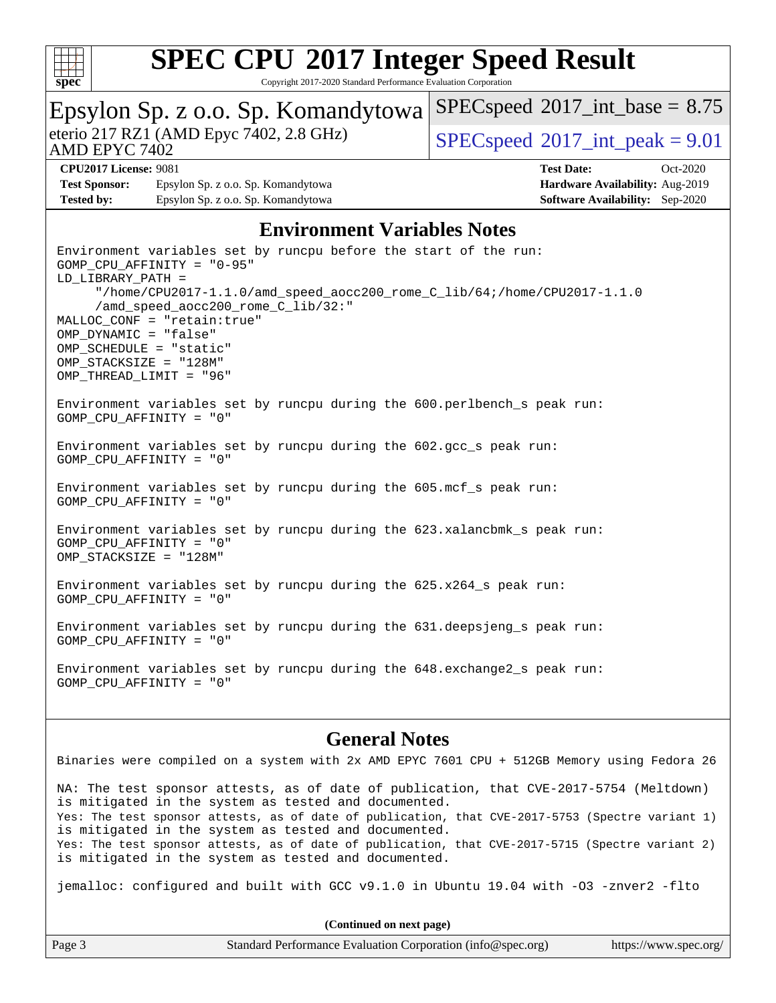

Copyright 2017-2020 Standard Performance Evaluation Corporation

| Epsylon Sp. z o.o. Sp. Komandytowa                       |                                    | $SPEC speed^{\circ}2017\_int\_base = 8.75$ |            |
|----------------------------------------------------------|------------------------------------|--------------------------------------------|------------|
| eterio 217 RZ1 (AMD Epyc 7402, 2.8 GHz)<br>AMD EPYC 7402 |                                    | $SPEC speed^{\circ}2017\_int\_peak = 9.01$ |            |
| <b>CPU2017 License: 9081</b>                             |                                    | <b>Test Date:</b>                          | $Oct-2020$ |
| <b>Test Sponsor:</b>                                     | Epsylon Sp. z o.o. Sp. Komandytowa | Hardware Availability: Aug-2019            |            |
| <b>Tested by:</b>                                        | Epsylon Sp. z o.o. Sp. Komandytowa | <b>Software Availability:</b> Sep-2020     |            |
| <b>Environment Variables Notes</b>                       |                                    |                                            |            |

Environment variables set by runcpu before the start of the run: GOMP\_CPU\_AFFINITY = "0-95" LD\_LIBRARY\_PATH = "/home/CPU2017-1.1.0/amd\_speed\_aocc200\_rome\_C\_lib/64;/home/CPU2017-1.1.0 /amd\_speed\_aocc200\_rome\_C\_lib/32:" MALLOC\_CONF = "retain:true" OMP\_DYNAMIC = "false" OMP\_SCHEDULE = "static" OMP\_STACKSIZE = "128M" OMP\_THREAD\_LIMIT = "96" Environment variables set by runcpu during the 600.perlbench\_s peak run: GOMP\_CPU\_AFFINITY = "0" Environment variables set by runcpu during the 602.gcc\_s peak run: GOMP\_CPU\_AFFINITY = "0" Environment variables set by runcpu during the 605.mcf\_s peak run: GOMP\_CPU\_AFFINITY = "0" Environment variables set by runcpu during the 623.xalancbmk\_s peak run: GOMP\_CPU\_AFFINITY = "0" OMP\_STACKSIZE = "128M" Environment variables set by runcpu during the 625.x264\_s peak run: GOMP\_CPU\_AFFINITY = "0" Environment variables set by runcpu during the 631.deepsjeng\_s peak run: GOMP\_CPU\_AFFINITY = "0" Environment variables set by runcpu during the 648.exchange2\_s peak run: GOMP\_CPU\_AFFINITY = "0"

### **[General Notes](http://www.spec.org/auto/cpu2017/Docs/result-fields.html#GeneralNotes)**

Binaries were compiled on a system with 2x AMD EPYC 7601 CPU + 512GB Memory using Fedora 26 NA: The test sponsor attests, as of date of publication, that CVE-2017-5754 (Meltdown) is mitigated in the system as tested and documented. Yes: The test sponsor attests, as of date of publication, that CVE-2017-5753 (Spectre variant 1) is mitigated in the system as tested and documented. Yes: The test sponsor attests, as of date of publication, that CVE-2017-5715 (Spectre variant 2) is mitigated in the system as tested and documented.

jemalloc: configured and built with GCC v9.1.0 in Ubuntu 19.04 with -O3 -znver2 -flto

|        | (Continued on next page)                                    |                       |
|--------|-------------------------------------------------------------|-----------------------|
| Page 3 | Standard Performance Evaluation Corporation (info@spec.org) | https://www.spec.org/ |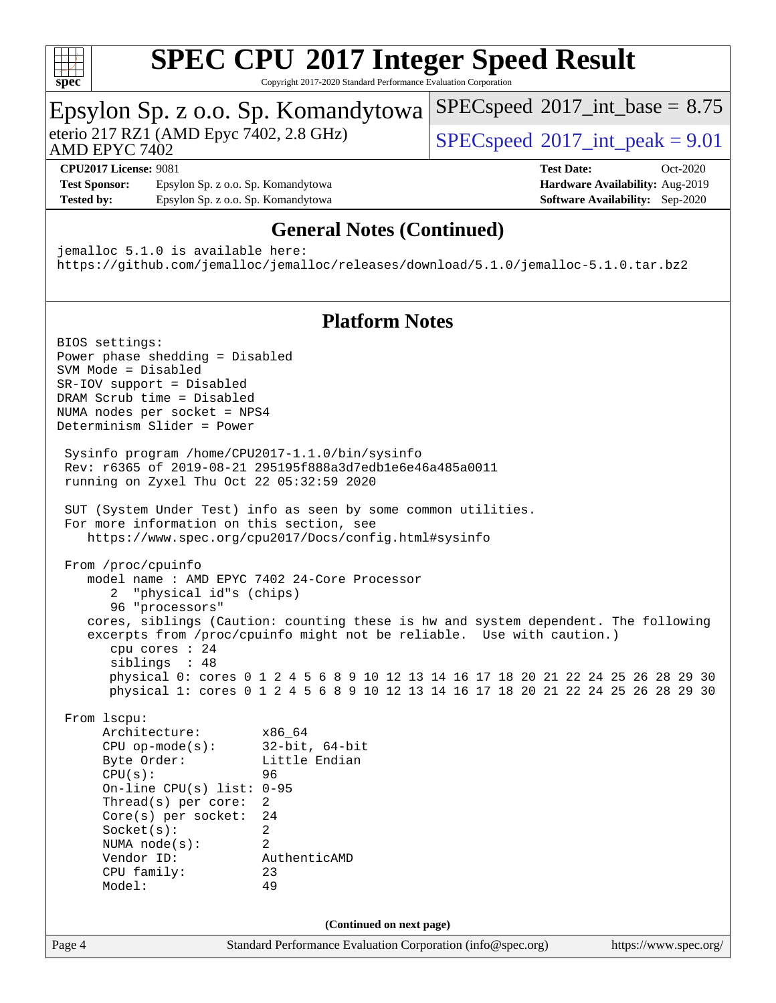

Copyright 2017-2020 Standard Performance Evaluation Corporation

### Epsylon Sp. z o.o. Sp. Komandytowa AMD EPYC 7402 eterio 217 RZ1 (AMD Epyc 7402, 2.8 GHz)  $SPECspeed@2017$  $SPECspeed@2017$  int\_peak = 9.01  $SPECspeed^{\circledcirc}2017\_int\_base = 8.75$  $SPECspeed^{\circledcirc}2017\_int\_base = 8.75$ **[CPU2017 License:](http://www.spec.org/auto/cpu2017/Docs/result-fields.html#CPU2017License)** 9081 **[Test Date:](http://www.spec.org/auto/cpu2017/Docs/result-fields.html#TestDate)** Oct-2020 **[Test Sponsor:](http://www.spec.org/auto/cpu2017/Docs/result-fields.html#TestSponsor)** Epsylon Sp. z o.o. Sp. Komandytowa **[Hardware Availability:](http://www.spec.org/auto/cpu2017/Docs/result-fields.html#HardwareAvailability)** Aug-2019 **[Tested by:](http://www.spec.org/auto/cpu2017/Docs/result-fields.html#Testedby)** Epsylon Sp. z o.o. Sp. Komandytowa **[Software Availability:](http://www.spec.org/auto/cpu2017/Docs/result-fields.html#SoftwareAvailability)** Sep-2020 **[General Notes \(Continued\)](http://www.spec.org/auto/cpu2017/Docs/result-fields.html#GeneralNotes)** jemalloc 5.1.0 is available here: <https://github.com/jemalloc/jemalloc/releases/download/5.1.0/jemalloc-5.1.0.tar.bz2>

### **[Platform Notes](http://www.spec.org/auto/cpu2017/Docs/result-fields.html#PlatformNotes)**

Page 4 Standard Performance Evaluation Corporation [\(info@spec.org\)](mailto:info@spec.org) <https://www.spec.org/> BIOS settings: Power phase shedding = Disabled SVM Mode = Disabled SR-IOV support = Disabled DRAM Scrub time = Disabled NUMA nodes per socket = NPS4 Determinism Slider = Power Sysinfo program /home/CPU2017-1.1.0/bin/sysinfo Rev: r6365 of 2019-08-21 295195f888a3d7edb1e6e46a485a0011 running on Zyxel Thu Oct 22 05:32:59 2020 SUT (System Under Test) info as seen by some common utilities. For more information on this section, see <https://www.spec.org/cpu2017/Docs/config.html#sysinfo> From /proc/cpuinfo model name : AMD EPYC 7402 24-Core Processor 2 "physical id"s (chips) 96 "processors" cores, siblings (Caution: counting these is hw and system dependent. The following excerpts from /proc/cpuinfo might not be reliable. Use with caution.) cpu cores : 24 siblings : 48 physical 0: cores 0 1 2 4 5 6 8 9 10 12 13 14 16 17 18 20 21 22 24 25 26 28 29 30 physical 1: cores 0 1 2 4 5 6 8 9 10 12 13 14 16 17 18 20 21 22 24 25 26 28 29 30 From lscpu: Architecture: x86\_64<br>CPU op-mode(s): 32-bit, 64-bit CPU op-mode $(s)$ : Byte Order: Little Endian CPU(s): 96 On-line CPU(s) list: 0-95 Thread(s) per core: 2 Core(s) per socket: 24 Socket(s): 2 NUMA node(s): 2 Vendor ID: AuthenticAMD CPU family: 23 Model: 49 **(Continued on next page)**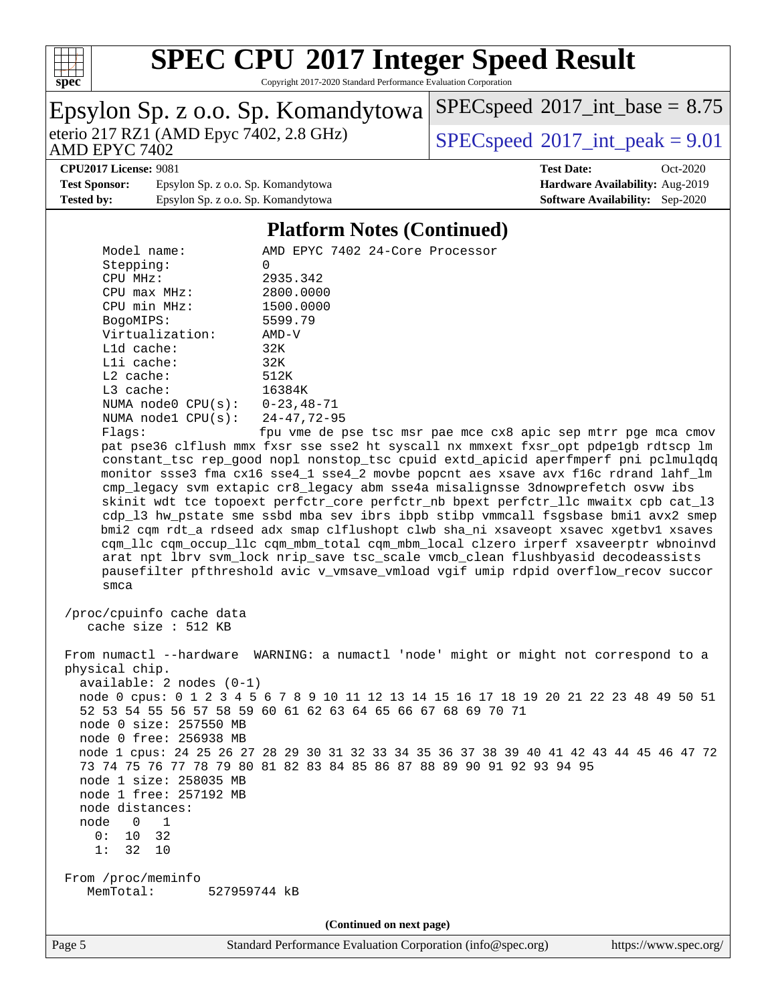

Copyright 2017-2020 Standard Performance Evaluation Corporation

| Epsylon Sp. z o.o. Sp. Komandytowa                                                                                                                                    |                                                                      | $SPEC speed^{\circ}2017\_int\_base = 8.75$                                              |
|-----------------------------------------------------------------------------------------------------------------------------------------------------------------------|----------------------------------------------------------------------|-----------------------------------------------------------------------------------------|
| eterio 217 RZ1 (AMD Epyc 7402, 2.8 GHz)<br>AMD EPYC 7402                                                                                                              |                                                                      | $SPEC speed^{\circ}2017\_int\_peak = 9.01$                                              |
| <b>CPU2017 License: 9081</b>                                                                                                                                          |                                                                      | <b>Test Date:</b><br>Oct-2020                                                           |
| <b>Test Sponsor:</b><br>Epsylon Sp. z o.o. Sp. Komandytowa                                                                                                            |                                                                      | Hardware Availability: Aug-2019                                                         |
| <b>Tested by:</b><br>Epsylon Sp. z o.o. Sp. Komandytowa                                                                                                               |                                                                      | <b>Software Availability:</b> Sep-2020                                                  |
|                                                                                                                                                                       |                                                                      |                                                                                         |
|                                                                                                                                                                       | <b>Platform Notes (Continued)</b>                                    |                                                                                         |
| Model name:                                                                                                                                                           | AMD EPYC 7402 24-Core Processor                                      |                                                                                         |
| Stepping:                                                                                                                                                             | 0                                                                    |                                                                                         |
| CPU MHz:                                                                                                                                                              | 2935.342                                                             |                                                                                         |
| CPU max MHz:                                                                                                                                                          | 2800.0000                                                            |                                                                                         |
| CPU min MHz:                                                                                                                                                          | 1500.0000                                                            |                                                                                         |
| BogoMIPS:                                                                                                                                                             | 5599.79                                                              |                                                                                         |
| Virtualization:<br>L1d cache:                                                                                                                                         | $AMD-V$<br>32K                                                       |                                                                                         |
| Lli cache:                                                                                                                                                            | 32K                                                                  |                                                                                         |
| $L2$ cache:                                                                                                                                                           | 512K                                                                 |                                                                                         |
| L3 cache:                                                                                                                                                             | 16384K                                                               |                                                                                         |
| NUMA node0 CPU(s):                                                                                                                                                    | $0 - 23, 48 - 71$                                                    |                                                                                         |
| NUMA $node1$ $CPU(s):$                                                                                                                                                | $24 - 47, 72 - 95$                                                   |                                                                                         |
| Flags:                                                                                                                                                                |                                                                      | fpu vme de pse tsc msr pae mce cx8 apic sep mtrr pge mca cmov                           |
|                                                                                                                                                                       |                                                                      | pat pse36 clflush mmx fxsr sse sse2 ht syscall nx mmxext fxsr_opt pdpe1gb rdtscp lm     |
|                                                                                                                                                                       |                                                                      | constant_tsc rep_good nopl nonstop_tsc cpuid extd_apicid aperfmperf pni pclmulqdq       |
|                                                                                                                                                                       |                                                                      | monitor ssse3 fma cx16 sse4_1 sse4_2 movbe popcnt aes xsave avx f16c rdrand lahf_lm     |
|                                                                                                                                                                       |                                                                      | cmp_legacy svm extapic cr8_legacy abm sse4a misalignsse 3dnowprefetch osvw ibs          |
|                                                                                                                                                                       |                                                                      | skinit wdt tce topoext perfctr_core perfctr_nb bpext perfctr_llc mwaitx cpb cat_13      |
|                                                                                                                                                                       |                                                                      | cdp_13 hw_pstate sme ssbd mba sev ibrs ibpb stibp vmmcall fsgsbase bmil avx2 smep       |
| bmi2 cqm rdt_a rdseed adx smap clflushopt clwb sha_ni xsaveopt xsavec xgetbvl xsaves                                                                                  |                                                                      |                                                                                         |
| cqm_llc cqm_occup_llc cqm_mbm_total cqm_mbm_local clzero irperf xsaveerptr wbnoinvd                                                                                   |                                                                      |                                                                                         |
| arat npt lbrv svm_lock nrip_save tsc_scale vmcb_clean flushbyasid decodeassists<br>pausefilter pfthreshold avic v_vmsave_vmload vgif umip rdpid overflow_recov succor |                                                                      |                                                                                         |
| smca                                                                                                                                                                  |                                                                      |                                                                                         |
|                                                                                                                                                                       |                                                                      |                                                                                         |
| /proc/cpuinfo cache data                                                                                                                                              |                                                                      |                                                                                         |
| cache size : 512 KB                                                                                                                                                   |                                                                      |                                                                                         |
|                                                                                                                                                                       |                                                                      |                                                                                         |
|                                                                                                                                                                       |                                                                      | From numactl --hardware WARNING: a numactl 'node' might or might not correspond to a    |
| physical chip.                                                                                                                                                        |                                                                      |                                                                                         |
| $available: 2 nodes (0-1)$                                                                                                                                            |                                                                      |                                                                                         |
|                                                                                                                                                                       |                                                                      | node 0 cpus: 0 1 2 3 4 5 6 7 8 9 10 11 12 13 14 15 16 17 18 19 20 21 22 23 48 49 50 51  |
|                                                                                                                                                                       | 52 53 54 55 56 57 58 59 60 61 62 63 64 65 66 67 68 69 70 71          |                                                                                         |
| node 0 size: 257550 MB                                                                                                                                                |                                                                      |                                                                                         |
| node 0 free: 256938 MB                                                                                                                                                |                                                                      |                                                                                         |
|                                                                                                                                                                       |                                                                      | node 1 cpus: 24 25 26 27 28 29 30 31 32 33 34 35 36 37 38 39 40 41 42 43 44 45 46 47 72 |
|                                                                                                                                                                       | 73 74 75 76 77 78 79 80 81 82 83 84 85 86 87 88 89 90 91 92 93 94 95 |                                                                                         |
| node 1 size: 258035 MB<br>node 1 free: 257192 MB                                                                                                                      |                                                                      |                                                                                         |
| node distances:                                                                                                                                                       |                                                                      |                                                                                         |
| node<br>$\overline{0}$<br>$\overline{1}$                                                                                                                              |                                                                      |                                                                                         |
| 0: 10<br>32                                                                                                                                                           |                                                                      |                                                                                         |
| 1: 32<br>10                                                                                                                                                           |                                                                      |                                                                                         |
|                                                                                                                                                                       |                                                                      |                                                                                         |
| From /proc/meminfo                                                                                                                                                    |                                                                      |                                                                                         |
| MemTotal:                                                                                                                                                             | 527959744 kB                                                         |                                                                                         |
|                                                                                                                                                                       |                                                                      |                                                                                         |
|                                                                                                                                                                       | (Continued on next page)                                             |                                                                                         |
|                                                                                                                                                                       |                                                                      |                                                                                         |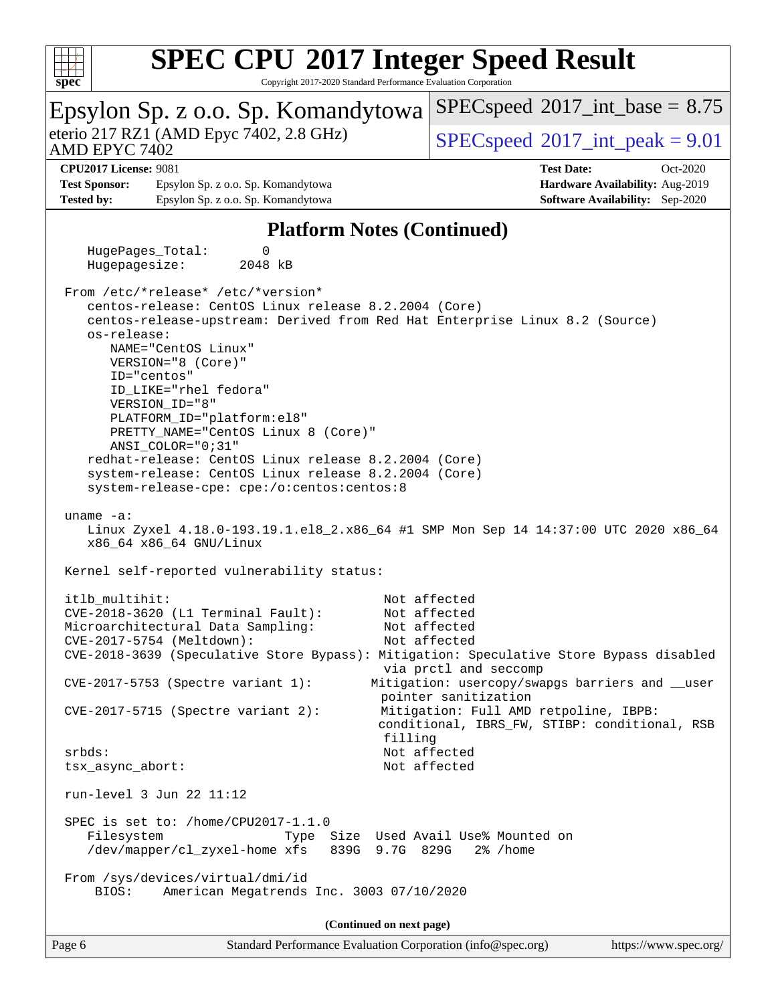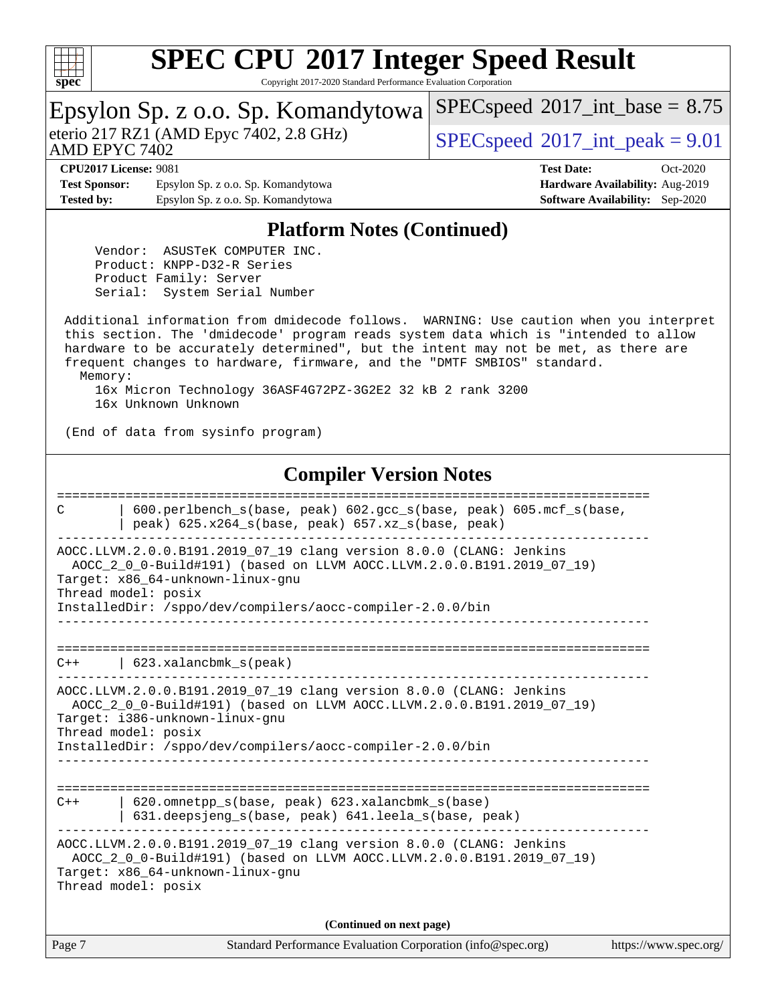

Copyright 2017-2020 Standard Performance Evaluation Corporation

| spec <sup>®</sup><br>Copyright 2017-2020 Standard Performance Evaluation Corporation                                                                                                                                                                                                                                                                                                                                                          |                                            |  |  |
|-----------------------------------------------------------------------------------------------------------------------------------------------------------------------------------------------------------------------------------------------------------------------------------------------------------------------------------------------------------------------------------------------------------------------------------------------|--------------------------------------------|--|--|
| Epsylon Sp. z o.o. Sp. Komandytowa                                                                                                                                                                                                                                                                                                                                                                                                            | $SPEC speed^{\circ}2017\_int\_base = 8.75$ |  |  |
| eterio 217 RZ1 (AMD Epyc 7402, 2.8 GHz)<br>AMD EPYC 7402                                                                                                                                                                                                                                                                                                                                                                                      | $SPEC speed^{\circ}2017\_int\_peak = 9.01$ |  |  |
| <b>CPU2017 License: 9081</b>                                                                                                                                                                                                                                                                                                                                                                                                                  | <b>Test Date:</b><br>Oct-2020              |  |  |
| <b>Test Sponsor:</b><br>Epsylon Sp. z o.o. Sp. Komandytowa                                                                                                                                                                                                                                                                                                                                                                                    | Hardware Availability: Aug-2019            |  |  |
| <b>Tested by:</b><br>Epsylon Sp. z o.o. Sp. Komandytowa                                                                                                                                                                                                                                                                                                                                                                                       | <b>Software Availability:</b> Sep-2020     |  |  |
|                                                                                                                                                                                                                                                                                                                                                                                                                                               |                                            |  |  |
| <b>Platform Notes (Continued)</b><br>ASUSTeK COMPUTER INC.<br>Vendor:                                                                                                                                                                                                                                                                                                                                                                         |                                            |  |  |
| Product: KNPP-D32-R Series<br>Product Family: Server                                                                                                                                                                                                                                                                                                                                                                                          |                                            |  |  |
| Serial:<br>System Serial Number                                                                                                                                                                                                                                                                                                                                                                                                               |                                            |  |  |
| Additional information from dmidecode follows. WARNING: Use caution when you interpret<br>this section. The 'dmidecode' program reads system data which is "intended to allow<br>hardware to be accurately determined", but the intent may not be met, as there are<br>frequent changes to hardware, firmware, and the "DMTF SMBIOS" standard.<br>Memory:<br>16x Micron Technology 36ASF4G72PZ-3G2E2 32 kB 2 rank 3200<br>16x Unknown Unknown |                                            |  |  |
| (End of data from sysinfo program)                                                                                                                                                                                                                                                                                                                                                                                                            |                                            |  |  |
| <b>Compiler Version Notes</b>                                                                                                                                                                                                                                                                                                                                                                                                                 |                                            |  |  |
| 600.perlbench_s(base, peak) 602.gcc_s(base, peak) 605.mcf_s(base,<br>C<br>peak) 625.x264_s(base, peak) 657.xz_s(base, peak)                                                                                                                                                                                                                                                                                                                   |                                            |  |  |
| AOCC.LLVM.2.0.0.B191.2019_07_19 clang version 8.0.0 (CLANG: Jenkins<br>AOCC_2_0_0-Build#191) (based on LLVM AOCC.LLVM.2.0.0.B191.2019_07_19)<br>Target: x86 64-unknown-linux-qnu                                                                                                                                                                                                                                                              |                                            |  |  |
| Thread model: posix<br>InstalledDir: /sppo/dev/compilers/aocc-compiler-2.0.0/bin                                                                                                                                                                                                                                                                                                                                                              |                                            |  |  |
|                                                                                                                                                                                                                                                                                                                                                                                                                                               |                                            |  |  |
| 623.xalancbmk_s(peak)<br>$C++$                                                                                                                                                                                                                                                                                                                                                                                                                |                                            |  |  |
| AOCC.LLVM.2.0.0.B191.2019_07_19 clang version 8.0.0 (CLANG: Jenkins<br>AOCC_2_0_0-Build#191) (based on LLVM AOCC.LLVM.2.0.0.B191.2019_07_19)<br>Target: i386-unknown-linux-gnu                                                                                                                                                                                                                                                                |                                            |  |  |
| Thread model: posix<br>InstalledDir: /sppo/dev/compilers/aocc-compiler-2.0.0/bin                                                                                                                                                                                                                                                                                                                                                              |                                            |  |  |
|                                                                                                                                                                                                                                                                                                                                                                                                                                               |                                            |  |  |
| 620.omnetpp_s(base, peak) 623.xalancbmk_s(base)<br>$C++$<br>631.deepsjeng_s(base, peak) 641.leela_s(base, peak)                                                                                                                                                                                                                                                                                                                               |                                            |  |  |
| AOCC.LLVM.2.0.0.B191.2019_07_19 clang version 8.0.0 (CLANG: Jenkins<br>AOCC_2_0_0-Build#191) (based on LLVM AOCC.LLVM.2.0.0.B191.2019_07_19)<br>Target: x86_64-unknown-linux-gnu<br>Thread model: posix                                                                                                                                                                                                                                       |                                            |  |  |
| (Continued on next page)                                                                                                                                                                                                                                                                                                                                                                                                                      |                                            |  |  |
| Page 7<br>Standard Performance Evaluation Corporation (info@spec.org)                                                                                                                                                                                                                                                                                                                                                                         | https://www.spec.org/                      |  |  |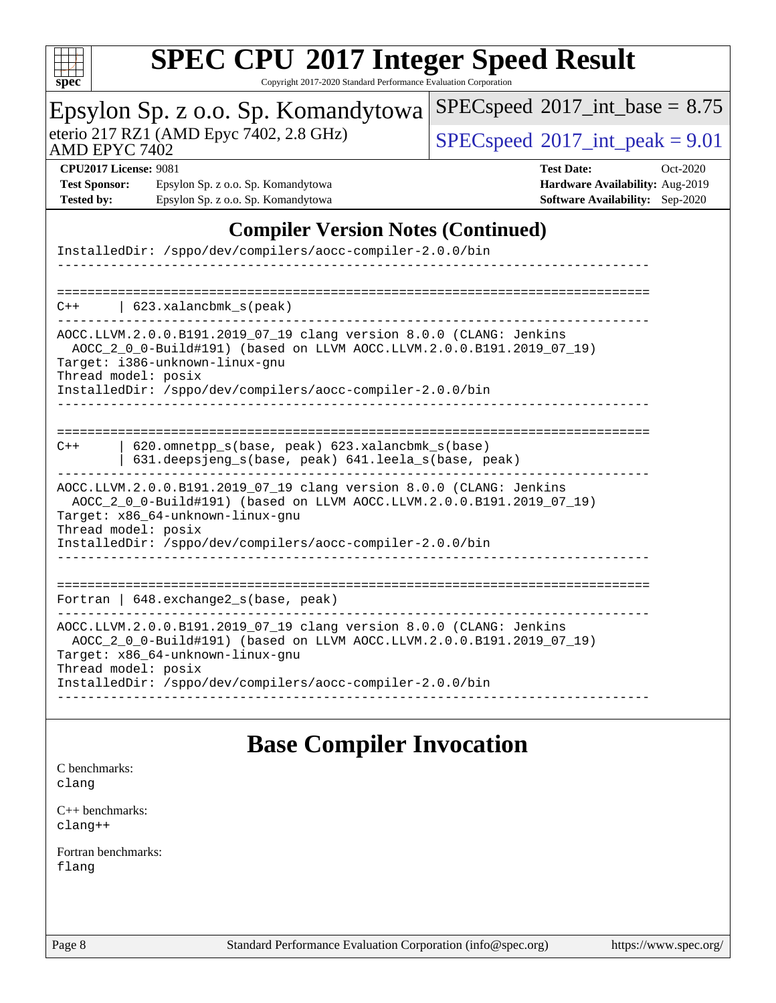| c<br>ŧ<br>ı |  |  |  |  |  |
|-------------|--|--|--|--|--|

Copyright 2017-2020 Standard Performance Evaluation Corporation

| spec <sup>®</sup>                                                                                                                                                                                       | Copyright 2017-2020 Standard Performance Evaluation Corporation                                                                                                                                                                                                      |                                            |  |  |  |
|---------------------------------------------------------------------------------------------------------------------------------------------------------------------------------------------------------|----------------------------------------------------------------------------------------------------------------------------------------------------------------------------------------------------------------------------------------------------------------------|--------------------------------------------|--|--|--|
|                                                                                                                                                                                                         | Epsylon Sp. z o.o. Sp. Komandytowa                                                                                                                                                                                                                                   | $SPEC speed^{\circ}2017\_int\_base = 8.75$ |  |  |  |
| eterio 217 RZ1 (AMD Epyc 7402, 2.8 GHz)<br>AMD EPYC 7402                                                                                                                                                |                                                                                                                                                                                                                                                                      | $SPEC speed^{\circ}2017\_int\_peak = 9.01$ |  |  |  |
|                                                                                                                                                                                                         | <b>CPU2017 License: 9081</b>                                                                                                                                                                                                                                         | <b>Test Date:</b><br>Oct-2020              |  |  |  |
|                                                                                                                                                                                                         |                                                                                                                                                                                                                                                                      |                                            |  |  |  |
| <b>Test Sponsor:</b>                                                                                                                                                                                    | Epsylon Sp. z o.o. Sp. Komandytowa                                                                                                                                                                                                                                   | Hardware Availability: Aug-2019            |  |  |  |
| <b>Tested by:</b>                                                                                                                                                                                       | Epsylon Sp. z o.o. Sp. Komandytowa                                                                                                                                                                                                                                   | <b>Software Availability:</b> Sep-2020     |  |  |  |
|                                                                                                                                                                                                         | <b>Compiler Version Notes (Continued)</b><br>InstalledDir: /sppo/dev/compilers/aocc-compiler-2.0.0/bin                                                                                                                                                               |                                            |  |  |  |
| $C++$                                                                                                                                                                                                   | $623.xalanchm k_s (peak)$<br>AOCC.LLVM.2.0.0.B191.2019_07_19 clang version 8.0.0 (CLANG: Jenkins                                                                                                                                                                     |                                            |  |  |  |
|                                                                                                                                                                                                         | AOCC_2_0_0-Build#191) (based on LLVM AOCC.LLVM.2.0.0.B191.2019_07_19)<br>Target: i386-unknown-linux-qnu<br>Thread model: posix<br>InstalledDir: /sppo/dev/compilers/aocc-compiler-2.0.0/bin                                                                          |                                            |  |  |  |
| 620.omnetpp_s(base, peak) 623.xalancbmk_s(base)<br>$C++$<br>631.deepsjeng_s(base, peak) 641.leela_s(base, peak)                                                                                         |                                                                                                                                                                                                                                                                      |                                            |  |  |  |
|                                                                                                                                                                                                         | AOCC.LLVM.2.0.0.B191.2019_07_19 clang version 8.0.0 (CLANG: Jenkins<br>AOCC_2_0_0-Build#191) (based on LLVM AOCC.LLVM.2.0.0.B191.2019_07_19)<br>Target: x86_64-unknown-linux-gnu<br>Thread model: posix<br>InstalledDir: /sppo/dev/compilers/aocc-compiler-2.0.0/bin |                                            |  |  |  |
| Fortran   648. exchange2_s(base, peak)                                                                                                                                                                  |                                                                                                                                                                                                                                                                      |                                            |  |  |  |
| AOCC.LLVM.2.0.0.B191.2019_07_19 clang version 8.0.0 (CLANG: Jenkins<br>AOCC_2_0_0-Build#191) (based on LLVM AOCC.LLVM.2.0.0.B191.2019_07_19)<br>Target: x86_64-unknown-linux-gnu<br>Thread model: posix |                                                                                                                                                                                                                                                                      |                                            |  |  |  |
| InstalledDir: /sppo/dev/compilers/aocc-compiler-2.0.0/bin                                                                                                                                               |                                                                                                                                                                                                                                                                      |                                            |  |  |  |
|                                                                                                                                                                                                         | <b>Base Compiler Invocation</b>                                                                                                                                                                                                                                      |                                            |  |  |  |
| C benchmarks:<br>clang                                                                                                                                                                                  |                                                                                                                                                                                                                                                                      |                                            |  |  |  |
| $C_{++}$ benchmarks:<br>$clanq++$                                                                                                                                                                       |                                                                                                                                                                                                                                                                      |                                            |  |  |  |
| Fortran benchmarks:                                                                                                                                                                                     |                                                                                                                                                                                                                                                                      |                                            |  |  |  |

[flang](http://www.spec.org/cpu2017/results/res2020q4/cpu2017-20201026-24254.flags.html#user_FCbase_flang)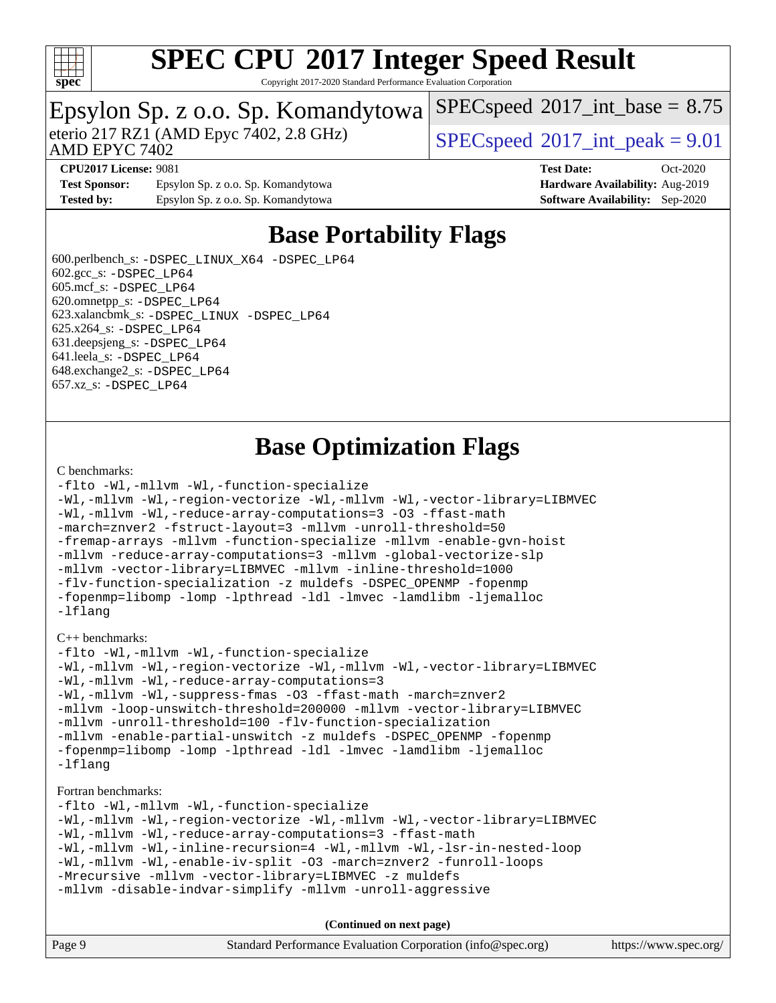

Copyright 2017-2020 Standard Performance Evaluation Corporation

## Epsylon Sp. z o.o. Sp. Komandytowa

AMD EPYC 7402

eterio 217 RZ1 (AMD Epyc 7402, 2.8 GHz)  $SPECspeed@2017$  $SPECspeed@2017$  int\_peak = 9.01

 $SPECspeed^{\circledcirc}2017\_int\_base = 8.75$  $SPECspeed^{\circledcirc}2017\_int\_base = 8.75$ 

**[CPU2017 License:](http://www.spec.org/auto/cpu2017/Docs/result-fields.html#CPU2017License)** 9081 **[Test Date:](http://www.spec.org/auto/cpu2017/Docs/result-fields.html#TestDate)** Oct-2020

**[Test Sponsor:](http://www.spec.org/auto/cpu2017/Docs/result-fields.html#TestSponsor)** Epsylon Sp. z o.o. Sp. Komandytowa **[Hardware Availability:](http://www.spec.org/auto/cpu2017/Docs/result-fields.html#HardwareAvailability)** Aug-2019 **[Tested by:](http://www.spec.org/auto/cpu2017/Docs/result-fields.html#Testedby)** Epsylon Sp. z o.o. Sp. Komandytowa **[Software Availability:](http://www.spec.org/auto/cpu2017/Docs/result-fields.html#SoftwareAvailability)** Sep-2020

## **[Base Portability Flags](http://www.spec.org/auto/cpu2017/Docs/result-fields.html#BasePortabilityFlags)**

 600.perlbench\_s: [-DSPEC\\_LINUX\\_X64](http://www.spec.org/cpu2017/results/res2020q4/cpu2017-20201026-24254.flags.html#b600.perlbench_s_basePORTABILITY_DSPEC_LINUX_X64) [-DSPEC\\_LP64](http://www.spec.org/cpu2017/results/res2020q4/cpu2017-20201026-24254.flags.html#b600.perlbench_s_baseEXTRA_PORTABILITY_DSPEC_LP64) 602.gcc\_s: [-DSPEC\\_LP64](http://www.spec.org/cpu2017/results/res2020q4/cpu2017-20201026-24254.flags.html#suite_baseEXTRA_PORTABILITY602_gcc_s_DSPEC_LP64) 605.mcf\_s: [-DSPEC\\_LP64](http://www.spec.org/cpu2017/results/res2020q4/cpu2017-20201026-24254.flags.html#suite_baseEXTRA_PORTABILITY605_mcf_s_DSPEC_LP64) 620.omnetpp\_s: [-DSPEC\\_LP64](http://www.spec.org/cpu2017/results/res2020q4/cpu2017-20201026-24254.flags.html#suite_baseEXTRA_PORTABILITY620_omnetpp_s_DSPEC_LP64) 623.xalancbmk\_s: [-DSPEC\\_LINUX](http://www.spec.org/cpu2017/results/res2020q4/cpu2017-20201026-24254.flags.html#b623.xalancbmk_s_basePORTABILITY_DSPEC_LINUX) [-DSPEC\\_LP64](http://www.spec.org/cpu2017/results/res2020q4/cpu2017-20201026-24254.flags.html#suite_baseEXTRA_PORTABILITY623_xalancbmk_s_DSPEC_LP64) 625.x264\_s: [-DSPEC\\_LP64](http://www.spec.org/cpu2017/results/res2020q4/cpu2017-20201026-24254.flags.html#suite_baseEXTRA_PORTABILITY625_x264_s_DSPEC_LP64) 631.deepsjeng\_s: [-DSPEC\\_LP64](http://www.spec.org/cpu2017/results/res2020q4/cpu2017-20201026-24254.flags.html#suite_baseEXTRA_PORTABILITY631_deepsjeng_s_DSPEC_LP64) 641.leela\_s: [-DSPEC\\_LP64](http://www.spec.org/cpu2017/results/res2020q4/cpu2017-20201026-24254.flags.html#suite_baseEXTRA_PORTABILITY641_leela_s_DSPEC_LP64) 648.exchange2\_s: [-DSPEC\\_LP64](http://www.spec.org/cpu2017/results/res2020q4/cpu2017-20201026-24254.flags.html#suite_baseEXTRA_PORTABILITY648_exchange2_s_DSPEC_LP64) 657.xz\_s: [-DSPEC\\_LP64](http://www.spec.org/cpu2017/results/res2020q4/cpu2017-20201026-24254.flags.html#suite_baseEXTRA_PORTABILITY657_xz_s_DSPEC_LP64)

## **[Base Optimization Flags](http://www.spec.org/auto/cpu2017/Docs/result-fields.html#BaseOptimizationFlags)**

### [C benchmarks](http://www.spec.org/auto/cpu2017/Docs/result-fields.html#Cbenchmarks):

```
-flto -Wl,-mllvm -Wl,-function-specialize
-Wl,-mllvm -Wl,-region-vectorize -Wl,-mllvm -Wl,-vector-library=LIBMVEC
-Wl,-mllvm -Wl,-reduce-array-computations=3 -O3 -ffast-math
-march=znver2 -fstruct-layout=3 -mllvm -unroll-threshold=50
-fremap-arrays -mllvm -function-specialize -mllvm -enable-gvn-hoist
-mllvm -reduce-array-computations=3 -mllvm -global-vectorize-slp
-mllvm -vector-library=LIBMVEC -mllvm -inline-threshold=1000
-flv-function-specialization -z muldefs -DSPEC_OPENMP -fopenmp
-fopenmp=libomp -lomp -lpthread -ldl -lmvec -lamdlibm -ljemalloc
-lflang
```
[C++ benchmarks:](http://www.spec.org/auto/cpu2017/Docs/result-fields.html#CXXbenchmarks)

```
-flto -Wl,-mllvm -Wl,-function-specialize
-Wl,-mllvm -Wl,-region-vectorize -Wl,-mllvm -Wl,-vector-library=LIBMVEC
-Wl,-mllvm -Wl,-reduce-array-computations=3
-Wl,-mllvm -Wl,-suppress-fmas -O3 -ffast-math -march=znver2
-mllvm -loop-unswitch-threshold=200000 -mllvm -vector-library=LIBMVEC
-mllvm -unroll-threshold=100 -flv-function-specialization
-mllvm -enable-partial-unswitch -z muldefs -DSPEC_OPENMP -fopenmp
-fopenmp=libomp -lomp -lpthread -ldl -lmvec -lamdlibm -ljemalloc
-lflang
```
### [Fortran benchmarks](http://www.spec.org/auto/cpu2017/Docs/result-fields.html#Fortranbenchmarks):

```
-flto -Wl,-mllvm -Wl,-function-specialize
-Wl,-mllvm -Wl,-region-vectorize -Wl,-mllvm -Wl,-vector-library=LIBMVEC
-Wl,-mllvm -Wl,-reduce-array-computations=3 -ffast-math
-Wl,-mllvm -Wl,-inline-recursion=4 -Wl,-mllvm -Wl,-lsr-in-nested-loop
-Wl,-mllvm -Wl,-enable-iv-split -O3 -march=znver2 -funroll-loops
-Mrecursive -mllvm -vector-library=LIBMVEC -z muldefs
-mllvm -disable-indvar-simplify -mllvm -unroll-aggressive
```
**(Continued on next page)**

| Page 9 | Standard Performance Evaluation Corporation (info@spec.org) | https://www.spec.org/ |
|--------|-------------------------------------------------------------|-----------------------|
|--------|-------------------------------------------------------------|-----------------------|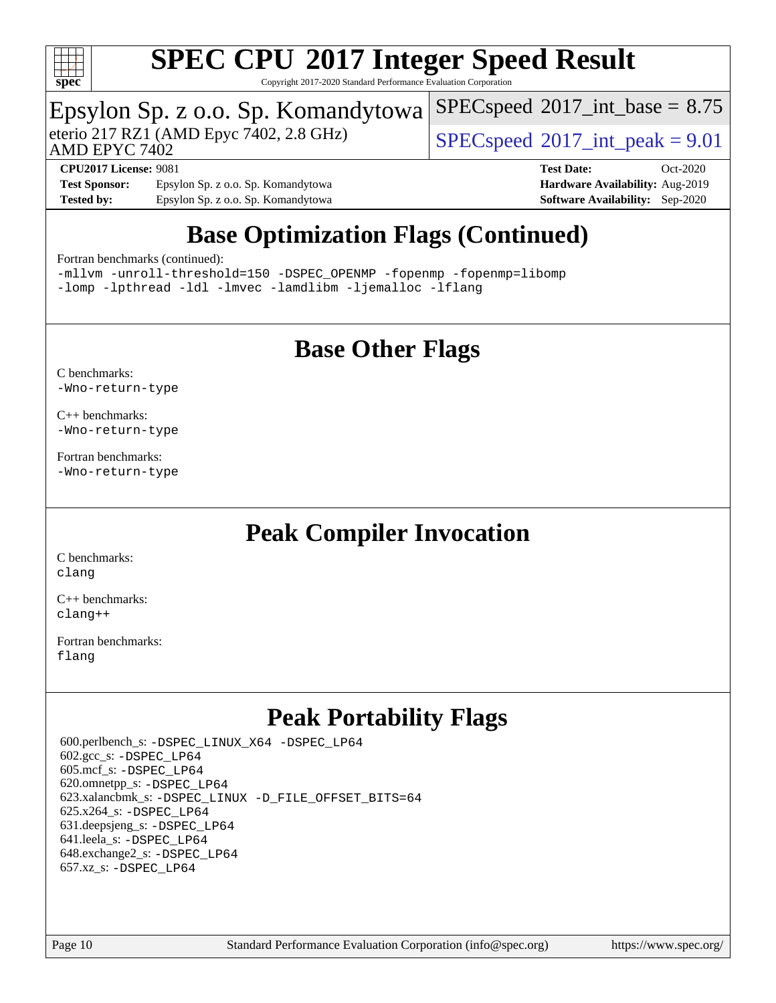

Copyright 2017-2020 Standard Performance Evaluation Corporation

# Epsylon Sp. z o.o. Sp. Komandytowa<br>eterio 217 RZ1 (AMD Epyc 7402, 2.8 GHz)

AMD EPYC 7402

 $SPECspeed^{\circ}2017\_int\_peak = 9.01$  $SPECspeed^{\circ}2017\_int\_peak = 9.01$ 

 $SPECspeed^{\circledcirc}2017\_int\_base = 8.75$  $SPECspeed^{\circledcirc}2017\_int\_base = 8.75$ 

**[Test Sponsor:](http://www.spec.org/auto/cpu2017/Docs/result-fields.html#TestSponsor)** Epsylon Sp. z o.o. Sp. Komandytowa **[Hardware Availability:](http://www.spec.org/auto/cpu2017/Docs/result-fields.html#HardwareAvailability)** Aug-2019 **[Tested by:](http://www.spec.org/auto/cpu2017/Docs/result-fields.html#Testedby)** Epsylon Sp. z o.o. Sp. Komandytowa **[Software Availability:](http://www.spec.org/auto/cpu2017/Docs/result-fields.html#SoftwareAvailability)** Sep-2020

**[CPU2017 License:](http://www.spec.org/auto/cpu2017/Docs/result-fields.html#CPU2017License)** 9081 **[Test Date:](http://www.spec.org/auto/cpu2017/Docs/result-fields.html#TestDate)** Oct-2020

## **[Base Optimization Flags \(Continued\)](http://www.spec.org/auto/cpu2017/Docs/result-fields.html#BaseOptimizationFlags)**

### [Fortran benchmarks](http://www.spec.org/auto/cpu2017/Docs/result-fields.html#Fortranbenchmarks) (continued):

[-mllvm -unroll-threshold=150](http://www.spec.org/cpu2017/results/res2020q4/cpu2017-20201026-24254.flags.html#user_FCbase_F-unroll-threshold_3352736ce55666ed13437f5f5fd6693920e68d4dfd26bba42492bb1c46b6d7692ff5ba7bd4d2ebdab48d140ca981a39154ff0664b4d322a66fc3d1aafa4d7ffe) [-DSPEC\\_OPENMP](http://www.spec.org/cpu2017/results/res2020q4/cpu2017-20201026-24254.flags.html#suite_FCbase_DSPEC_OPENMP) [-fopenmp](http://www.spec.org/cpu2017/results/res2020q4/cpu2017-20201026-24254.flags.html#user_FCbase_aocc-fopenmp) [-fopenmp=libomp](http://www.spec.org/cpu2017/results/res2020q4/cpu2017-20201026-24254.flags.html#user_FCbase_aocc-fopenmp_3eb6ab80166bcc84161ff8c20c8d5bc344f88119f45620444596454f7d72e99b7a0ceefc2d1b4d190bd07306bbfdfc20f11f5a2dc69c9b03c72239f8406741c3) [-lomp](http://www.spec.org/cpu2017/results/res2020q4/cpu2017-20201026-24254.flags.html#user_FCbase_F-lomp) [-lpthread](http://www.spec.org/cpu2017/results/res2020q4/cpu2017-20201026-24254.flags.html#user_FCbase_F-lpthread) [-ldl](http://www.spec.org/cpu2017/results/res2020q4/cpu2017-20201026-24254.flags.html#user_FCbase_F-ldl) [-lmvec](http://www.spec.org/cpu2017/results/res2020q4/cpu2017-20201026-24254.flags.html#user_FCbase_F-lmvec) [-lamdlibm](http://www.spec.org/cpu2017/results/res2020q4/cpu2017-20201026-24254.flags.html#user_FCbase_F-lamdlibm) [-ljemalloc](http://www.spec.org/cpu2017/results/res2020q4/cpu2017-20201026-24254.flags.html#user_FCbase_jemalloc-lib) [-lflang](http://www.spec.org/cpu2017/results/res2020q4/cpu2017-20201026-24254.flags.html#user_FCbase_F-lflang)

### **[Base Other Flags](http://www.spec.org/auto/cpu2017/Docs/result-fields.html#BaseOtherFlags)**

[C benchmarks](http://www.spec.org/auto/cpu2017/Docs/result-fields.html#Cbenchmarks): [-Wno-return-type](http://www.spec.org/cpu2017/results/res2020q4/cpu2017-20201026-24254.flags.html#user_CCbase_F-Waocc-no-return-type)

[C++ benchmarks:](http://www.spec.org/auto/cpu2017/Docs/result-fields.html#CXXbenchmarks) [-Wno-return-type](http://www.spec.org/cpu2017/results/res2020q4/cpu2017-20201026-24254.flags.html#user_CXXbase_F-Waocc-no-return-type)

[Fortran benchmarks](http://www.spec.org/auto/cpu2017/Docs/result-fields.html#Fortranbenchmarks): [-Wno-return-type](http://www.spec.org/cpu2017/results/res2020q4/cpu2017-20201026-24254.flags.html#user_FCbase_F-Waocc-no-return-type)

### **[Peak Compiler Invocation](http://www.spec.org/auto/cpu2017/Docs/result-fields.html#PeakCompilerInvocation)**

[C benchmarks](http://www.spec.org/auto/cpu2017/Docs/result-fields.html#Cbenchmarks): [clang](http://www.spec.org/cpu2017/results/res2020q4/cpu2017-20201026-24254.flags.html#user_CCpeak_clang-c)

[C++ benchmarks:](http://www.spec.org/auto/cpu2017/Docs/result-fields.html#CXXbenchmarks) [clang++](http://www.spec.org/cpu2017/results/res2020q4/cpu2017-20201026-24254.flags.html#user_CXXpeak_clang-cpp)

[Fortran benchmarks](http://www.spec.org/auto/cpu2017/Docs/result-fields.html#Fortranbenchmarks): [flang](http://www.spec.org/cpu2017/results/res2020q4/cpu2017-20201026-24254.flags.html#user_FCpeak_flang)

### **[Peak Portability Flags](http://www.spec.org/auto/cpu2017/Docs/result-fields.html#PeakPortabilityFlags)**

 600.perlbench\_s: [-DSPEC\\_LINUX\\_X64](http://www.spec.org/cpu2017/results/res2020q4/cpu2017-20201026-24254.flags.html#b600.perlbench_s_peakPORTABILITY_DSPEC_LINUX_X64) [-DSPEC\\_LP64](http://www.spec.org/cpu2017/results/res2020q4/cpu2017-20201026-24254.flags.html#b600.perlbench_s_peakEXTRA_PORTABILITY_DSPEC_LP64) 602.gcc\_s: [-DSPEC\\_LP64](http://www.spec.org/cpu2017/results/res2020q4/cpu2017-20201026-24254.flags.html#suite_peakEXTRA_PORTABILITY602_gcc_s_DSPEC_LP64) 605.mcf\_s: [-DSPEC\\_LP64](http://www.spec.org/cpu2017/results/res2020q4/cpu2017-20201026-24254.flags.html#suite_peakEXTRA_PORTABILITY605_mcf_s_DSPEC_LP64) 620.omnetpp\_s: [-DSPEC\\_LP64](http://www.spec.org/cpu2017/results/res2020q4/cpu2017-20201026-24254.flags.html#suite_peakEXTRA_PORTABILITY620_omnetpp_s_DSPEC_LP64) 623.xalancbmk\_s: [-DSPEC\\_LINUX](http://www.spec.org/cpu2017/results/res2020q4/cpu2017-20201026-24254.flags.html#b623.xalancbmk_s_peakPORTABILITY_DSPEC_LINUX) [-D\\_FILE\\_OFFSET\\_BITS=64](http://www.spec.org/cpu2017/results/res2020q4/cpu2017-20201026-24254.flags.html#user_peakEXTRA_PORTABILITY623_xalancbmk_s_F-D_FILE_OFFSET_BITS_5ae949a99b284ddf4e95728d47cb0843d81b2eb0e18bdfe74bbf0f61d0b064f4bda2f10ea5eb90e1dcab0e84dbc592acfc5018bc955c18609f94ddb8d550002c) 625.x264\_s: [-DSPEC\\_LP64](http://www.spec.org/cpu2017/results/res2020q4/cpu2017-20201026-24254.flags.html#suite_peakEXTRA_PORTABILITY625_x264_s_DSPEC_LP64) 631.deepsjeng\_s: [-DSPEC\\_LP64](http://www.spec.org/cpu2017/results/res2020q4/cpu2017-20201026-24254.flags.html#suite_peakEXTRA_PORTABILITY631_deepsjeng_s_DSPEC_LP64) 641.leela\_s: [-DSPEC\\_LP64](http://www.spec.org/cpu2017/results/res2020q4/cpu2017-20201026-24254.flags.html#suite_peakEXTRA_PORTABILITY641_leela_s_DSPEC_LP64) 648.exchange2\_s: [-DSPEC\\_LP64](http://www.spec.org/cpu2017/results/res2020q4/cpu2017-20201026-24254.flags.html#suite_peakEXTRA_PORTABILITY648_exchange2_s_DSPEC_LP64) 657.xz\_s: [-DSPEC\\_LP64](http://www.spec.org/cpu2017/results/res2020q4/cpu2017-20201026-24254.flags.html#suite_peakEXTRA_PORTABILITY657_xz_s_DSPEC_LP64)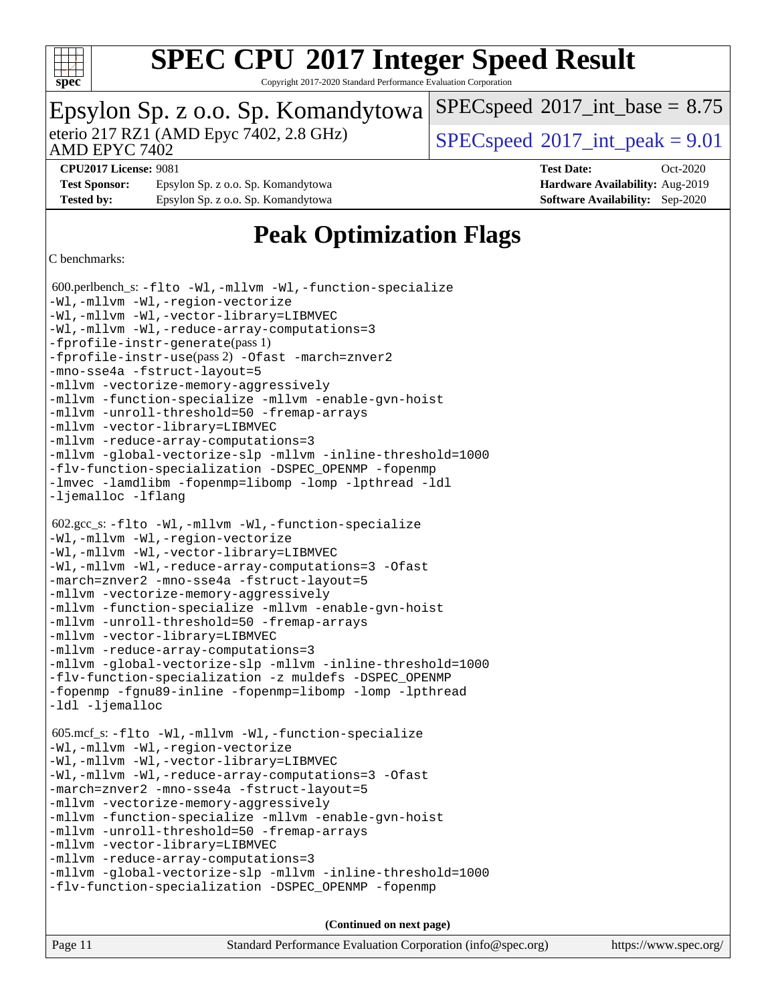

Copyright 2017-2020 Standard Performance Evaluation Corporation

| Epsylon Sp. z o.o. Sp. Komandytowa   SPECspeed®2017_int_base = 8.75 |                                    |                                            |            |  |
|---------------------------------------------------------------------|------------------------------------|--------------------------------------------|------------|--|
| eterio 217 RZ1 (AMD Epyc 7402, 2.8 GHz)<br>AMD EPYC 7402            |                                    | $SPEC speed^{\circ}2017\_int\_peak = 9.01$ |            |  |
| <b>CPU2017 License: 9081</b>                                        |                                    | <b>Test Date:</b>                          | $Oct-2020$ |  |
| <b>Test Sponsor:</b>                                                | Epsylon Sp. z o.o. Sp. Komandytowa | Hardware Availability: Aug-2019            |            |  |
| Epsylon Sp. z o.o. Sp. Komandytowa<br><b>Tested by:</b>             |                                    | <b>Software Availability:</b> Sep-2020     |            |  |

## **[Peak Optimization Flags](http://www.spec.org/auto/cpu2017/Docs/result-fields.html#PeakOptimizationFlags)**

### [C benchmarks:](http://www.spec.org/auto/cpu2017/Docs/result-fields.html#Cbenchmarks)

 600.perlbench\_s: [-flto](http://www.spec.org/cpu2017/results/res2020q4/cpu2017-20201026-24254.flags.html#user_peakCOPTIMIZELDFLAGS600_perlbench_s_aocc-flto) [-Wl,-mllvm -Wl,-function-specialize](http://www.spec.org/cpu2017/results/res2020q4/cpu2017-20201026-24254.flags.html#user_peakLDFLAGS600_perlbench_s_F-function-specialize_7e7e661e57922243ee67c9a1251cb8910e607325179a0ce7f2884e09a6f5d4a5ef0ae4f37e8a2a11c95fc48e931f06dc2b6016f14b511fcb441e048bef1b065a) [-Wl,-mllvm -Wl,-region-vectorize](http://www.spec.org/cpu2017/results/res2020q4/cpu2017-20201026-24254.flags.html#user_peakLDFLAGS600_perlbench_s_F-region-vectorize_fb6c6b5aa293c88efc6c7c2b52b20755e943585b1fe8658c35afef78727fff56e1a56891413c30e36b8e2a6f9a71126986319243e80eb6110b78b288f533c52b) [-Wl,-mllvm -Wl,-vector-library=LIBMVEC](http://www.spec.org/cpu2017/results/res2020q4/cpu2017-20201026-24254.flags.html#user_peakLDFLAGS600_perlbench_s_F-use-vector-library_0a14b27fae317f283640384a31f7bfcc2bd4c1d0b5cfc618a3a430800c9b20217b00f61303eff223a3251b4f06ffbc9739dc5296db9d1fbb9ad24a3939d86d66) [-Wl,-mllvm -Wl,-reduce-array-computations=3](http://www.spec.org/cpu2017/results/res2020q4/cpu2017-20201026-24254.flags.html#user_peakLDFLAGS600_perlbench_s_F-reduce-array-computations_b882aefe7a5dda4e33149f6299762b9a720dace3e498e13756f4c04e5a19edf5315c1f3993de2e61ec41e8c206231f84e05da7040e1bb5d69ba27d10a12507e4) [-fprofile-instr-generate](http://www.spec.org/cpu2017/results/res2020q4/cpu2017-20201026-24254.flags.html#user_peakPASS1_CFLAGSPASS1_LDFLAGS600_perlbench_s_F-fprofile-instr-generate)(pass 1) [-fprofile-instr-use](http://www.spec.org/cpu2017/results/res2020q4/cpu2017-20201026-24254.flags.html#user_peakPASS2_CFLAGSPASS2_LDFLAGS600_perlbench_s_F-fprofile-instr-use)(pass 2) [-Ofast](http://www.spec.org/cpu2017/results/res2020q4/cpu2017-20201026-24254.flags.html#user_peakCOPTIMIZE600_perlbench_s_aocc-Ofast) [-march=znver2](http://www.spec.org/cpu2017/results/res2020q4/cpu2017-20201026-24254.flags.html#user_peakCOPTIMIZE600_perlbench_s_aocc-march_3e2e19cff2eeef60c5d90b059483627c9ea47eca6d66670dbd53f9185f6439e27eb5e104cf773e9e8ab18c8842ce63e461a3e948d0214bd567ef3ade411bf467) [-mno-sse4a](http://www.spec.org/cpu2017/results/res2020q4/cpu2017-20201026-24254.flags.html#user_peakCOPTIMIZE600_perlbench_s_F-mno-sse4a) [-fstruct-layout=5](http://www.spec.org/cpu2017/results/res2020q4/cpu2017-20201026-24254.flags.html#user_peakCOPTIMIZE600_perlbench_s_F-struct-layout_0de9d3561e9f54a54e0843cce081bd13a08ab3e9a82696f3346606c2e11360c37113781019b02fa128d9f650e68f1ffd209bab5c3a026c1ad23e4e7f60646b23) [-mllvm -vectorize-memory-aggressively](http://www.spec.org/cpu2017/results/res2020q4/cpu2017-20201026-24254.flags.html#user_peakCOPTIMIZE600_perlbench_s_F-vectorize-memory-aggressively_24b72a4417f50ade9e698c5b3bed87ab456cc6fc8ec6439480cb84f36ad6a3975af6e87206dea402e3871a1464ff3d60bc798e0250f330177ba629a260df1857) [-mllvm -function-specialize](http://www.spec.org/cpu2017/results/res2020q4/cpu2017-20201026-24254.flags.html#user_peakCOPTIMIZE600_perlbench_s_F-function-specialize_233b3bdba86027f1b094368157e481c5bc59f40286dc25bfadc1858dcd5745c24fd30d5f188710db7fea399bcc9f44a80b3ce3aacc70a8870250c3ae5e1f35b8) [-mllvm -enable-gvn-hoist](http://www.spec.org/cpu2017/results/res2020q4/cpu2017-20201026-24254.flags.html#user_peakCOPTIMIZE600_perlbench_s_F-enable-gvn-hoist_e5856354646dd6ca1333a0ad99b817e4cf8932b91b82809fd8fd47ceff7b22a89eba5c98fd3e3fa5200368fd772cec3dd56abc3c8f7b655a71b9f9848dddedd5) [-mllvm -unroll-threshold=50](http://www.spec.org/cpu2017/results/res2020q4/cpu2017-20201026-24254.flags.html#user_peakCOPTIMIZE600_perlbench_s_F-unroll-threshold_458874500b2c105d6d5cb4d7a611c40e2b16e9e3d26b355fea72d644c3673b4de4b3932662f0ed3dbec75c491a13da2d2ca81180bd779dc531083ef1e1e549dc) [-fremap-arrays](http://www.spec.org/cpu2017/results/res2020q4/cpu2017-20201026-24254.flags.html#user_peakCOPTIMIZE600_perlbench_s_F-fremap-arrays) [-mllvm -vector-library=LIBMVEC](http://www.spec.org/cpu2017/results/res2020q4/cpu2017-20201026-24254.flags.html#user_peakCOPTIMIZE600_perlbench_s_F-use-vector-library_e584e20b4f7ec96aa109254b65d8e01d864f3d68580371b9d93ed7c338191d4cfce20c3c864632264effc6bbe4c7c38153d02096a342ee92501c4a53204a7871) [-mllvm -reduce-array-computations=3](http://www.spec.org/cpu2017/results/res2020q4/cpu2017-20201026-24254.flags.html#user_peakCOPTIMIZE600_perlbench_s_F-reduce-array-computations_aceadb8604558b566e0e3a0d7a3c1533923dd1fa0889614e16288028922629a28d5695c24d3b3be4306b1e311c54317dfffe3a2e57fbcaabc737a1798de39145) [-mllvm -global-vectorize-slp](http://www.spec.org/cpu2017/results/res2020q4/cpu2017-20201026-24254.flags.html#user_peakCOPTIMIZE600_perlbench_s_F-global-vectorize-slp_a3935e8627af4ced727033b1ffd4db27f4d541a363d28d82bf4c2925fb3a0fd4115d6e42d13a2829f9e024d6608eb67a85cb49770f2da5c5ac8dbc737afad603) [-mllvm -inline-threshold=1000](http://www.spec.org/cpu2017/results/res2020q4/cpu2017-20201026-24254.flags.html#user_peakCOPTIMIZE600_perlbench_s_dragonegg-llvm-inline-threshold_b7832241b0a6397e4ecdbaf0eb7defdc10f885c2a282fa3240fdc99844d543fda39cf8a4a9dccf68cf19b5438ac3b455264f478df15da0f4988afa40d8243bab) [-flv-function-specialization](http://www.spec.org/cpu2017/results/res2020q4/cpu2017-20201026-24254.flags.html#user_peakCOPTIMIZE600_perlbench_s_F-flv-function-specialization) [-DSPEC\\_OPENMP](http://www.spec.org/cpu2017/results/res2020q4/cpu2017-20201026-24254.flags.html#suite_peakEXTRA_OPTIMIZE600_perlbench_s_DSPEC_OPENMP) [-fopenmp](http://www.spec.org/cpu2017/results/res2020q4/cpu2017-20201026-24254.flags.html#user_peakEXTRA_OPTIMIZE600_perlbench_s_aocc-fopenmp) [-lmvec](http://www.spec.org/cpu2017/results/res2020q4/cpu2017-20201026-24254.flags.html#user_peakEXTRA_LIBSMATH_LIBS600_perlbench_s_F-lmvec) [-lamdlibm](http://www.spec.org/cpu2017/results/res2020q4/cpu2017-20201026-24254.flags.html#user_peakEXTRA_LIBSMATH_LIBS600_perlbench_s_F-lamdlibm) [-fopenmp=libomp](http://www.spec.org/cpu2017/results/res2020q4/cpu2017-20201026-24254.flags.html#user_peakEXTRA_LIBS600_perlbench_s_aocc-fopenmp_3eb6ab80166bcc84161ff8c20c8d5bc344f88119f45620444596454f7d72e99b7a0ceefc2d1b4d190bd07306bbfdfc20f11f5a2dc69c9b03c72239f8406741c3) [-lomp](http://www.spec.org/cpu2017/results/res2020q4/cpu2017-20201026-24254.flags.html#user_peakEXTRA_LIBS600_perlbench_s_F-lomp) [-lpthread](http://www.spec.org/cpu2017/results/res2020q4/cpu2017-20201026-24254.flags.html#user_peakEXTRA_LIBS600_perlbench_s_F-lpthread) [-ldl](http://www.spec.org/cpu2017/results/res2020q4/cpu2017-20201026-24254.flags.html#user_peakEXTRA_LIBS600_perlbench_s_F-ldl) [-ljemalloc](http://www.spec.org/cpu2017/results/res2020q4/cpu2017-20201026-24254.flags.html#user_peakEXTRA_LIBS600_perlbench_s_jemalloc-lib) [-lflang](http://www.spec.org/cpu2017/results/res2020q4/cpu2017-20201026-24254.flags.html#user_peakEXTRA_LIBS600_perlbench_s_F-lflang) 602.gcc\_s: [-flto](http://www.spec.org/cpu2017/results/res2020q4/cpu2017-20201026-24254.flags.html#user_peakCOPTIMIZELDFLAGS602_gcc_s_aocc-flto) [-Wl,-mllvm -Wl,-function-specialize](http://www.spec.org/cpu2017/results/res2020q4/cpu2017-20201026-24254.flags.html#user_peakLDFLAGS602_gcc_s_F-function-specialize_7e7e661e57922243ee67c9a1251cb8910e607325179a0ce7f2884e09a6f5d4a5ef0ae4f37e8a2a11c95fc48e931f06dc2b6016f14b511fcb441e048bef1b065a) [-Wl,-mllvm -Wl,-region-vectorize](http://www.spec.org/cpu2017/results/res2020q4/cpu2017-20201026-24254.flags.html#user_peakLDFLAGS602_gcc_s_F-region-vectorize_fb6c6b5aa293c88efc6c7c2b52b20755e943585b1fe8658c35afef78727fff56e1a56891413c30e36b8e2a6f9a71126986319243e80eb6110b78b288f533c52b) [-Wl,-mllvm -Wl,-vector-library=LIBMVEC](http://www.spec.org/cpu2017/results/res2020q4/cpu2017-20201026-24254.flags.html#user_peakLDFLAGS602_gcc_s_F-use-vector-library_0a14b27fae317f283640384a31f7bfcc2bd4c1d0b5cfc618a3a430800c9b20217b00f61303eff223a3251b4f06ffbc9739dc5296db9d1fbb9ad24a3939d86d66) [-Wl,-mllvm -Wl,-reduce-array-computations=3](http://www.spec.org/cpu2017/results/res2020q4/cpu2017-20201026-24254.flags.html#user_peakLDFLAGS602_gcc_s_F-reduce-array-computations_b882aefe7a5dda4e33149f6299762b9a720dace3e498e13756f4c04e5a19edf5315c1f3993de2e61ec41e8c206231f84e05da7040e1bb5d69ba27d10a12507e4) [-Ofast](http://www.spec.org/cpu2017/results/res2020q4/cpu2017-20201026-24254.flags.html#user_peakCOPTIMIZE602_gcc_s_aocc-Ofast) [-march=znver2](http://www.spec.org/cpu2017/results/res2020q4/cpu2017-20201026-24254.flags.html#user_peakCOPTIMIZE602_gcc_s_aocc-march_3e2e19cff2eeef60c5d90b059483627c9ea47eca6d66670dbd53f9185f6439e27eb5e104cf773e9e8ab18c8842ce63e461a3e948d0214bd567ef3ade411bf467) [-mno-sse4a](http://www.spec.org/cpu2017/results/res2020q4/cpu2017-20201026-24254.flags.html#user_peakCOPTIMIZE602_gcc_s_F-mno-sse4a) [-fstruct-layout=5](http://www.spec.org/cpu2017/results/res2020q4/cpu2017-20201026-24254.flags.html#user_peakCOPTIMIZE602_gcc_s_F-struct-layout_0de9d3561e9f54a54e0843cce081bd13a08ab3e9a82696f3346606c2e11360c37113781019b02fa128d9f650e68f1ffd209bab5c3a026c1ad23e4e7f60646b23) [-mllvm -vectorize-memory-aggressively](http://www.spec.org/cpu2017/results/res2020q4/cpu2017-20201026-24254.flags.html#user_peakCOPTIMIZE602_gcc_s_F-vectorize-memory-aggressively_24b72a4417f50ade9e698c5b3bed87ab456cc6fc8ec6439480cb84f36ad6a3975af6e87206dea402e3871a1464ff3d60bc798e0250f330177ba629a260df1857) [-mllvm -function-specialize](http://www.spec.org/cpu2017/results/res2020q4/cpu2017-20201026-24254.flags.html#user_peakCOPTIMIZE602_gcc_s_F-function-specialize_233b3bdba86027f1b094368157e481c5bc59f40286dc25bfadc1858dcd5745c24fd30d5f188710db7fea399bcc9f44a80b3ce3aacc70a8870250c3ae5e1f35b8) [-mllvm -enable-gvn-hoist](http://www.spec.org/cpu2017/results/res2020q4/cpu2017-20201026-24254.flags.html#user_peakCOPTIMIZE602_gcc_s_F-enable-gvn-hoist_e5856354646dd6ca1333a0ad99b817e4cf8932b91b82809fd8fd47ceff7b22a89eba5c98fd3e3fa5200368fd772cec3dd56abc3c8f7b655a71b9f9848dddedd5) [-mllvm -unroll-threshold=50](http://www.spec.org/cpu2017/results/res2020q4/cpu2017-20201026-24254.flags.html#user_peakCOPTIMIZE602_gcc_s_F-unroll-threshold_458874500b2c105d6d5cb4d7a611c40e2b16e9e3d26b355fea72d644c3673b4de4b3932662f0ed3dbec75c491a13da2d2ca81180bd779dc531083ef1e1e549dc) [-fremap-arrays](http://www.spec.org/cpu2017/results/res2020q4/cpu2017-20201026-24254.flags.html#user_peakCOPTIMIZE602_gcc_s_F-fremap-arrays) [-mllvm -vector-library=LIBMVEC](http://www.spec.org/cpu2017/results/res2020q4/cpu2017-20201026-24254.flags.html#user_peakCOPTIMIZE602_gcc_s_F-use-vector-library_e584e20b4f7ec96aa109254b65d8e01d864f3d68580371b9d93ed7c338191d4cfce20c3c864632264effc6bbe4c7c38153d02096a342ee92501c4a53204a7871) [-mllvm -reduce-array-computations=3](http://www.spec.org/cpu2017/results/res2020q4/cpu2017-20201026-24254.flags.html#user_peakCOPTIMIZE602_gcc_s_F-reduce-array-computations_aceadb8604558b566e0e3a0d7a3c1533923dd1fa0889614e16288028922629a28d5695c24d3b3be4306b1e311c54317dfffe3a2e57fbcaabc737a1798de39145) [-mllvm -global-vectorize-slp](http://www.spec.org/cpu2017/results/res2020q4/cpu2017-20201026-24254.flags.html#user_peakCOPTIMIZE602_gcc_s_F-global-vectorize-slp_a3935e8627af4ced727033b1ffd4db27f4d541a363d28d82bf4c2925fb3a0fd4115d6e42d13a2829f9e024d6608eb67a85cb49770f2da5c5ac8dbc737afad603) [-mllvm -inline-threshold=1000](http://www.spec.org/cpu2017/results/res2020q4/cpu2017-20201026-24254.flags.html#user_peakCOPTIMIZE602_gcc_s_dragonegg-llvm-inline-threshold_b7832241b0a6397e4ecdbaf0eb7defdc10f885c2a282fa3240fdc99844d543fda39cf8a4a9dccf68cf19b5438ac3b455264f478df15da0f4988afa40d8243bab) [-flv-function-specialization](http://www.spec.org/cpu2017/results/res2020q4/cpu2017-20201026-24254.flags.html#user_peakCOPTIMIZE602_gcc_s_F-flv-function-specialization) [-z muldefs](http://www.spec.org/cpu2017/results/res2020q4/cpu2017-20201026-24254.flags.html#user_peakLDOPTIMIZE602_gcc_s_aocc-muldefs) [-DSPEC\\_OPENMP](http://www.spec.org/cpu2017/results/res2020q4/cpu2017-20201026-24254.flags.html#suite_peakEXTRA_OPTIMIZE602_gcc_s_DSPEC_OPENMP) [-fopenmp](http://www.spec.org/cpu2017/results/res2020q4/cpu2017-20201026-24254.flags.html#user_peakEXTRA_OPTIMIZE602_gcc_s_aocc-fopenmp) [-fgnu89-inline](http://www.spec.org/cpu2017/results/res2020q4/cpu2017-20201026-24254.flags.html#user_peakEXTRA_COPTIMIZE602_gcc_s_F-fgnu89-inline) [-fopenmp=libomp](http://www.spec.org/cpu2017/results/res2020q4/cpu2017-20201026-24254.flags.html#user_peakEXTRA_LIBS602_gcc_s_aocc-fopenmp_3eb6ab80166bcc84161ff8c20c8d5bc344f88119f45620444596454f7d72e99b7a0ceefc2d1b4d190bd07306bbfdfc20f11f5a2dc69c9b03c72239f8406741c3) [-lomp](http://www.spec.org/cpu2017/results/res2020q4/cpu2017-20201026-24254.flags.html#user_peakEXTRA_LIBS602_gcc_s_F-lomp) [-lpthread](http://www.spec.org/cpu2017/results/res2020q4/cpu2017-20201026-24254.flags.html#user_peakEXTRA_LIBS602_gcc_s_F-lpthread) [-ldl](http://www.spec.org/cpu2017/results/res2020q4/cpu2017-20201026-24254.flags.html#user_peakEXTRA_LIBS602_gcc_s_F-ldl) [-ljemalloc](http://www.spec.org/cpu2017/results/res2020q4/cpu2017-20201026-24254.flags.html#user_peakEXTRA_LIBS602_gcc_s_jemalloc-lib) 605.mcf\_s: [-flto](http://www.spec.org/cpu2017/results/res2020q4/cpu2017-20201026-24254.flags.html#user_peakCOPTIMIZELDFLAGS605_mcf_s_aocc-flto) [-Wl,-mllvm -Wl,-function-specialize](http://www.spec.org/cpu2017/results/res2020q4/cpu2017-20201026-24254.flags.html#user_peakLDFLAGS605_mcf_s_F-function-specialize_7e7e661e57922243ee67c9a1251cb8910e607325179a0ce7f2884e09a6f5d4a5ef0ae4f37e8a2a11c95fc48e931f06dc2b6016f14b511fcb441e048bef1b065a) [-Wl,-mllvm -Wl,-region-vectorize](http://www.spec.org/cpu2017/results/res2020q4/cpu2017-20201026-24254.flags.html#user_peakLDFLAGS605_mcf_s_F-region-vectorize_fb6c6b5aa293c88efc6c7c2b52b20755e943585b1fe8658c35afef78727fff56e1a56891413c30e36b8e2a6f9a71126986319243e80eb6110b78b288f533c52b) [-Wl,-mllvm -Wl,-vector-library=LIBMVEC](http://www.spec.org/cpu2017/results/res2020q4/cpu2017-20201026-24254.flags.html#user_peakLDFLAGS605_mcf_s_F-use-vector-library_0a14b27fae317f283640384a31f7bfcc2bd4c1d0b5cfc618a3a430800c9b20217b00f61303eff223a3251b4f06ffbc9739dc5296db9d1fbb9ad24a3939d86d66) [-Wl,-mllvm -Wl,-reduce-array-computations=3](http://www.spec.org/cpu2017/results/res2020q4/cpu2017-20201026-24254.flags.html#user_peakLDFLAGS605_mcf_s_F-reduce-array-computations_b882aefe7a5dda4e33149f6299762b9a720dace3e498e13756f4c04e5a19edf5315c1f3993de2e61ec41e8c206231f84e05da7040e1bb5d69ba27d10a12507e4) [-Ofast](http://www.spec.org/cpu2017/results/res2020q4/cpu2017-20201026-24254.flags.html#user_peakCOPTIMIZE605_mcf_s_aocc-Ofast) [-march=znver2](http://www.spec.org/cpu2017/results/res2020q4/cpu2017-20201026-24254.flags.html#user_peakCOPTIMIZE605_mcf_s_aocc-march_3e2e19cff2eeef60c5d90b059483627c9ea47eca6d66670dbd53f9185f6439e27eb5e104cf773e9e8ab18c8842ce63e461a3e948d0214bd567ef3ade411bf467) [-mno-sse4a](http://www.spec.org/cpu2017/results/res2020q4/cpu2017-20201026-24254.flags.html#user_peakCOPTIMIZE605_mcf_s_F-mno-sse4a) [-fstruct-layout=5](http://www.spec.org/cpu2017/results/res2020q4/cpu2017-20201026-24254.flags.html#user_peakCOPTIMIZE605_mcf_s_F-struct-layout_0de9d3561e9f54a54e0843cce081bd13a08ab3e9a82696f3346606c2e11360c37113781019b02fa128d9f650e68f1ffd209bab5c3a026c1ad23e4e7f60646b23) [-mllvm -vectorize-memory-aggressively](http://www.spec.org/cpu2017/results/res2020q4/cpu2017-20201026-24254.flags.html#user_peakCOPTIMIZE605_mcf_s_F-vectorize-memory-aggressively_24b72a4417f50ade9e698c5b3bed87ab456cc6fc8ec6439480cb84f36ad6a3975af6e87206dea402e3871a1464ff3d60bc798e0250f330177ba629a260df1857) [-mllvm -function-specialize](http://www.spec.org/cpu2017/results/res2020q4/cpu2017-20201026-24254.flags.html#user_peakCOPTIMIZE605_mcf_s_F-function-specialize_233b3bdba86027f1b094368157e481c5bc59f40286dc25bfadc1858dcd5745c24fd30d5f188710db7fea399bcc9f44a80b3ce3aacc70a8870250c3ae5e1f35b8) [-mllvm -enable-gvn-hoist](http://www.spec.org/cpu2017/results/res2020q4/cpu2017-20201026-24254.flags.html#user_peakCOPTIMIZE605_mcf_s_F-enable-gvn-hoist_e5856354646dd6ca1333a0ad99b817e4cf8932b91b82809fd8fd47ceff7b22a89eba5c98fd3e3fa5200368fd772cec3dd56abc3c8f7b655a71b9f9848dddedd5) [-mllvm -unroll-threshold=50](http://www.spec.org/cpu2017/results/res2020q4/cpu2017-20201026-24254.flags.html#user_peakCOPTIMIZE605_mcf_s_F-unroll-threshold_458874500b2c105d6d5cb4d7a611c40e2b16e9e3d26b355fea72d644c3673b4de4b3932662f0ed3dbec75c491a13da2d2ca81180bd779dc531083ef1e1e549dc) [-fremap-arrays](http://www.spec.org/cpu2017/results/res2020q4/cpu2017-20201026-24254.flags.html#user_peakCOPTIMIZE605_mcf_s_F-fremap-arrays) [-mllvm -vector-library=LIBMVEC](http://www.spec.org/cpu2017/results/res2020q4/cpu2017-20201026-24254.flags.html#user_peakCOPTIMIZE605_mcf_s_F-use-vector-library_e584e20b4f7ec96aa109254b65d8e01d864f3d68580371b9d93ed7c338191d4cfce20c3c864632264effc6bbe4c7c38153d02096a342ee92501c4a53204a7871) [-mllvm -reduce-array-computations=3](http://www.spec.org/cpu2017/results/res2020q4/cpu2017-20201026-24254.flags.html#user_peakCOPTIMIZE605_mcf_s_F-reduce-array-computations_aceadb8604558b566e0e3a0d7a3c1533923dd1fa0889614e16288028922629a28d5695c24d3b3be4306b1e311c54317dfffe3a2e57fbcaabc737a1798de39145) [-mllvm -global-vectorize-slp](http://www.spec.org/cpu2017/results/res2020q4/cpu2017-20201026-24254.flags.html#user_peakCOPTIMIZE605_mcf_s_F-global-vectorize-slp_a3935e8627af4ced727033b1ffd4db27f4d541a363d28d82bf4c2925fb3a0fd4115d6e42d13a2829f9e024d6608eb67a85cb49770f2da5c5ac8dbc737afad603) [-mllvm -inline-threshold=1000](http://www.spec.org/cpu2017/results/res2020q4/cpu2017-20201026-24254.flags.html#user_peakCOPTIMIZE605_mcf_s_dragonegg-llvm-inline-threshold_b7832241b0a6397e4ecdbaf0eb7defdc10f885c2a282fa3240fdc99844d543fda39cf8a4a9dccf68cf19b5438ac3b455264f478df15da0f4988afa40d8243bab) [-flv-function-specialization](http://www.spec.org/cpu2017/results/res2020q4/cpu2017-20201026-24254.flags.html#user_peakCOPTIMIZE605_mcf_s_F-flv-function-specialization) [-DSPEC\\_OPENMP](http://www.spec.org/cpu2017/results/res2020q4/cpu2017-20201026-24254.flags.html#suite_peakEXTRA_OPTIMIZE605_mcf_s_DSPEC_OPENMP) [-fopenmp](http://www.spec.org/cpu2017/results/res2020q4/cpu2017-20201026-24254.flags.html#user_peakEXTRA_OPTIMIZE605_mcf_s_aocc-fopenmp)

**(Continued on next page)**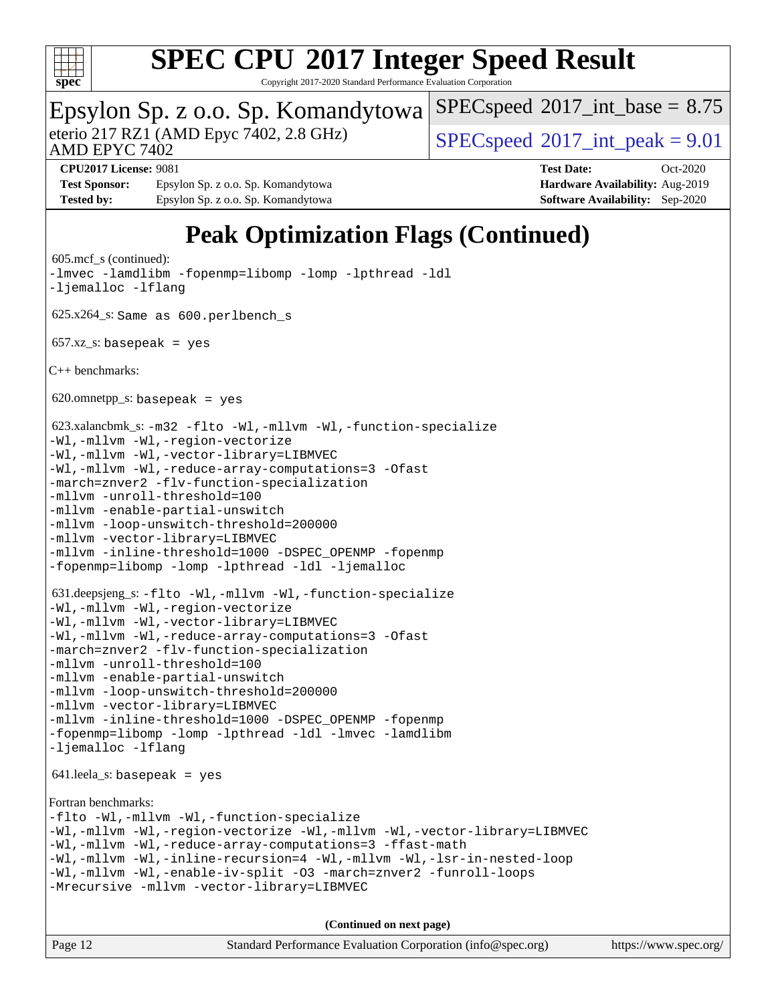

| SPEC CPU®2017 Integer Speed Result<br>spec <sup>®</sup><br>Copyright 2017-2020 Standard Performance Evaluation Corporation                                                                                                                                                                                                                                                                                                                                                                                      |                                                                                                            |  |  |  |
|-----------------------------------------------------------------------------------------------------------------------------------------------------------------------------------------------------------------------------------------------------------------------------------------------------------------------------------------------------------------------------------------------------------------------------------------------------------------------------------------------------------------|------------------------------------------------------------------------------------------------------------|--|--|--|
| Epsylon Sp. z o.o. Sp. Komandytowa                                                                                                                                                                                                                                                                                                                                                                                                                                                                              | $SPEC speed^{\circ}2017\_int\_base = 8.75$                                                                 |  |  |  |
| eterio 217 RZ1 (AMD Epyc 7402, 2.8 GHz)<br>AMD EPYC 7402                                                                                                                                                                                                                                                                                                                                                                                                                                                        | $SPEC speed^{\circ}2017\_int\_peak = 9.01$                                                                 |  |  |  |
| <b>CPU2017 License: 9081</b><br><b>Test Sponsor:</b><br>Epsylon Sp. z o.o. Sp. Komandytowa<br><b>Tested by:</b><br>Epsylon Sp. z o.o. Sp. Komandytowa                                                                                                                                                                                                                                                                                                                                                           | <b>Test Date:</b><br>Oct-2020<br>Hardware Availability: Aug-2019<br><b>Software Availability:</b> Sep-2020 |  |  |  |
| <b>Peak Optimization Flags (Continued)</b><br>605.mcf_s (continued):                                                                                                                                                                                                                                                                                                                                                                                                                                            |                                                                                                            |  |  |  |
| -lmvec -lamdlibm -fopenmp=libomp -lomp -lpthread -ldl<br>-ljemalloc -lflang                                                                                                                                                                                                                                                                                                                                                                                                                                     |                                                                                                            |  |  |  |
| $625.x264_s$ : Same as $600.perlbench_s$                                                                                                                                                                                                                                                                                                                                                                                                                                                                        |                                                                                                            |  |  |  |
| $657.xz$ _s: basepeak = yes                                                                                                                                                                                                                                                                                                                                                                                                                                                                                     |                                                                                                            |  |  |  |
| $C++$ benchmarks:                                                                                                                                                                                                                                                                                                                                                                                                                                                                                               |                                                                                                            |  |  |  |
| $620.0$ mnetpp_s: basepeak = yes                                                                                                                                                                                                                                                                                                                                                                                                                                                                                |                                                                                                            |  |  |  |
| 623.xalancbmk_s: $-m32$ -flto -Wl, -mllvm -Wl, -function-specialize<br>-Wl,-mllvm -Wl,-region-vectorize<br>-Wl,-mllvm -Wl,-vector-library=LIBMVEC<br>-Wl,-mllvm -Wl,-reduce-array-computations=3 -Ofast<br>-march=znver2 -flv-function-specialization<br>-mllvm -unroll-threshold=100<br>-mllvm -enable-partial-unswitch<br>-mllvm -loop-unswitch-threshold=200000<br>-mllvm -vector-library=LIBMVEC<br>-mllvm -inline-threshold=1000 -DSPEC OPENMP -fopenmp<br>-fopenmp=libomp -lomp -lpthread -ldl -ljemalloc |                                                                                                            |  |  |  |

```
 631.deepsjeng_s: -flto -Wl,-mllvm -Wl,-function-specialize
-Wl,-mllvm -Wl,-region-vectorize
-Wl,-mllvm -Wl,-vector-library=LIBMVEC
-Wl,-mllvm -Wl,-reduce-array-computations=3 -Ofast
-march=znver2 -flv-function-specialization
-mllvm -unroll-threshold=100
-mllvm -enable-partial-unswitch
-mllvm -loop-unswitch-threshold=200000
-mllvm -vector-library=LIBMVEC
```

```
-mllvm -inline-threshold=1000 -DSPEC_OPENMP -fopenmp
-fopenmp=libomp -lomp -lpthread -ldl -lmvec -lamdlibm
-ljemalloc -lflang
```
641.leela\_s: basepeak = yes

```
Fortran benchmarks: 
-flto -Wl,-mllvm -Wl,-function-specialize
-Wl,-mllvm -Wl,-region-vectorize -Wl,-mllvm -Wl,-vector-library=LIBMVEC
-Wl,-mllvm -Wl,-reduce-array-computations=3 -ffast-math
-Wl,-mllvm -Wl,-inline-recursion=4 -Wl,-mllvm -Wl,-lsr-in-nested-loop
-Wl,-mllvm -Wl,-enable-iv-split -O3 -march=znver2 -funroll-loops
-Mrecursive -mllvm -vector-library=LIBMVEC
```
**(Continued on next page)**

| Page 12 | Standard Performance Evaluation Corporation (info@spec.org) | https://www.spec.org/ |
|---------|-------------------------------------------------------------|-----------------------|
|---------|-------------------------------------------------------------|-----------------------|